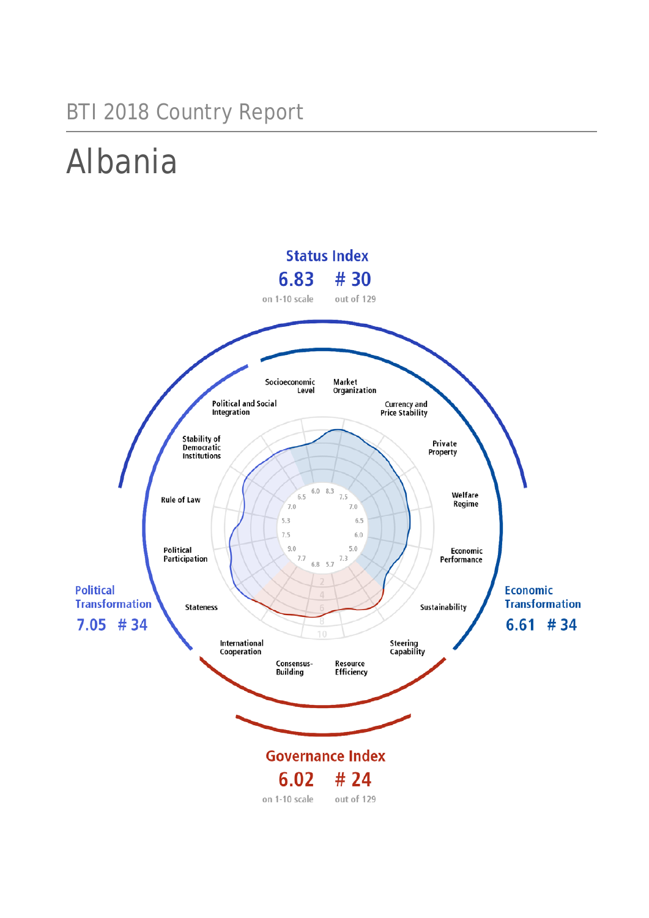# BTI 2018 Country Report

# Albania

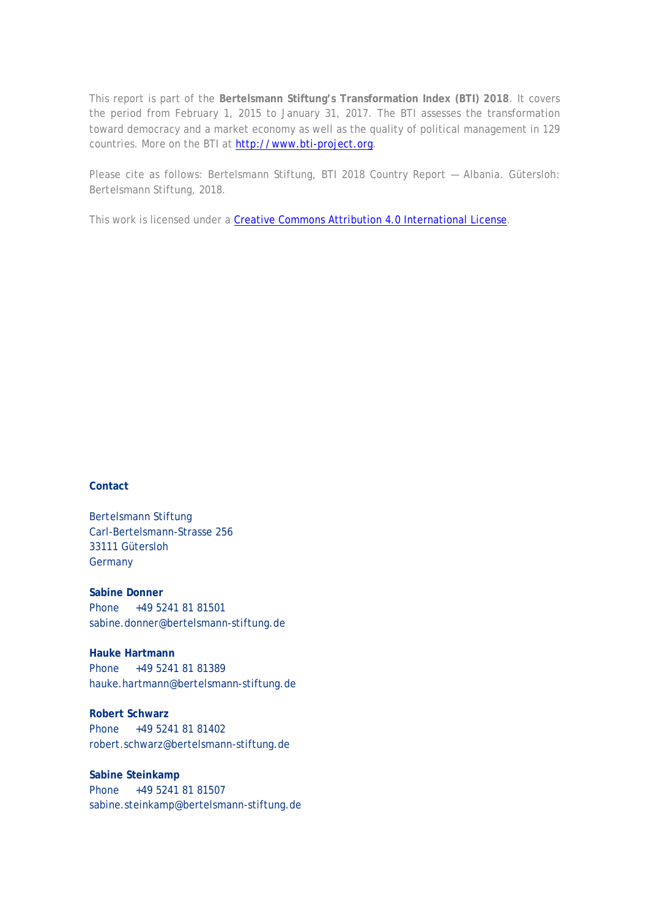This report is part of the **Bertelsmann Stiftung's Transformation Index (BTI) 2018**. It covers the period from February 1, 2015 to January 31, 2017. The BTI assesses the transformation toward democracy and a market economy as well as the quality of political management in 129 countries. More on the BTI at [http://www.bti-project.org.](http://www.bti-project.org/)

Please cite as follows: Bertelsmann Stiftung, BTI 2018 Country Report — Albania. Gütersloh: Bertelsmann Stiftung, 2018.

This work is licensed under a [Creative Commons Attribution 4.0 International License.](http://creativecommons.org/licenses/by/4.0/)

#### **Contact**

Bertelsmann Stiftung Carl-Bertelsmann-Strasse 256 33111 Gütersloh **Germany** 

**Sabine Donner** Phone +49 5241 81 81501 sabine.donner@bertelsmann-stiftung.de

**Hauke Hartmann** Phone +49 5241 81 81389 hauke.hartmann@bertelsmann-stiftung.de

**Robert Schwarz** Phone +49 5241 81 81402 robert.schwarz@bertelsmann-stiftung.de

**Sabine Steinkamp** Phone +49 5241 81 81507 sabine.steinkamp@bertelsmann-stiftung.de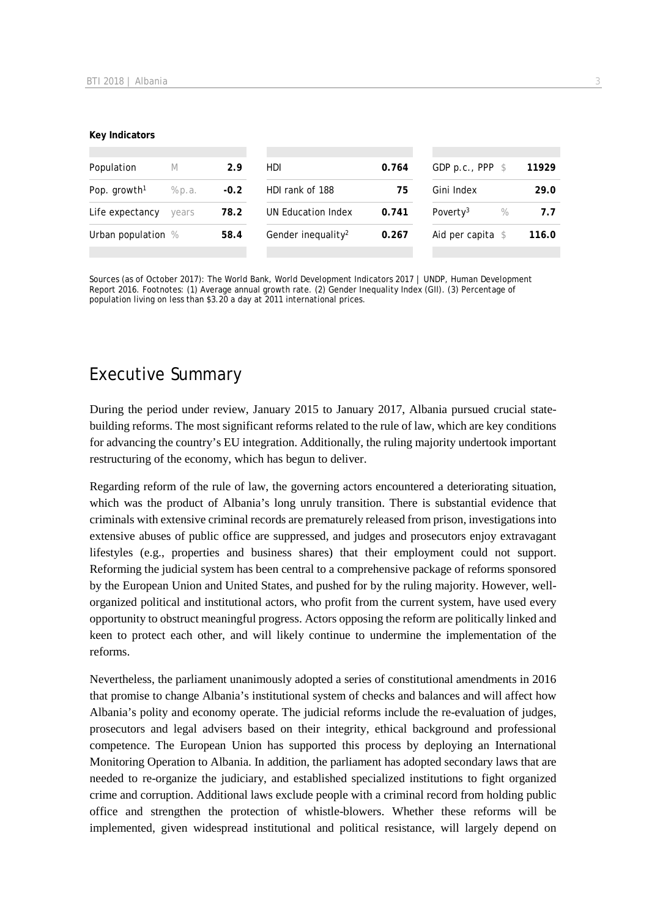#### **Key Indicators**

| Population               | M      | 2.9    | HDI.                           | 0.764 | GDP p.c., PPP $$$            | 11929 |
|--------------------------|--------|--------|--------------------------------|-------|------------------------------|-------|
| Pop. growth <sup>1</sup> | % p.a. | $-0.2$ | HDI rank of 188                | 75    | Gini Index                   | 29.0  |
| Life expectancy          | vears  | 78.2   | UN Education Index             | 0.741 | Poverty <sup>3</sup><br>$\%$ | 7.7   |
| Urban population %       |        | 58.4   | Gender inequality <sup>2</sup> | 0.267 | Aid per capita $\$$          | 116.0 |
|                          |        |        |                                |       |                              |       |

Sources (as of October 2017): The World Bank, World Development Indicators 2017 | UNDP, Human Development Report 2016. Footnotes: (1) Average annual growth rate. (2) Gender Inequality Index (GII). (3) Percentage of population living on less than \$3.20 a day at 2011 international prices.

# Executive Summary

During the period under review, January 2015 to January 2017, Albania pursued crucial statebuilding reforms. The most significant reforms related to the rule of law, which are key conditions for advancing the country's EU integration. Additionally, the ruling majority undertook important restructuring of the economy, which has begun to deliver.

Regarding reform of the rule of law, the governing actors encountered a deteriorating situation, which was the product of Albania's long unruly transition. There is substantial evidence that criminals with extensive criminal records are prematurely released from prison, investigations into extensive abuses of public office are suppressed, and judges and prosecutors enjoy extravagant lifestyles (e.g., properties and business shares) that their employment could not support. Reforming the judicial system has been central to a comprehensive package of reforms sponsored by the European Union and United States, and pushed for by the ruling majority. However, wellorganized political and institutional actors, who profit from the current system, have used every opportunity to obstruct meaningful progress. Actors opposing the reform are politically linked and keen to protect each other, and will likely continue to undermine the implementation of the reforms.

Nevertheless, the parliament unanimously adopted a series of constitutional amendments in 2016 that promise to change Albania's institutional system of checks and balances and will affect how Albania's polity and economy operate. The judicial reforms include the re-evaluation of judges, prosecutors and legal advisers based on their integrity, ethical background and professional competence. The European Union has supported this process by deploying an International Monitoring Operation to Albania. In addition, the parliament has adopted secondary laws that are needed to re-organize the judiciary, and established specialized institutions to fight organized crime and corruption. Additional laws exclude people with a criminal record from holding public office and strengthen the protection of whistle-blowers. Whether these reforms will be implemented, given widespread institutional and political resistance, will largely depend on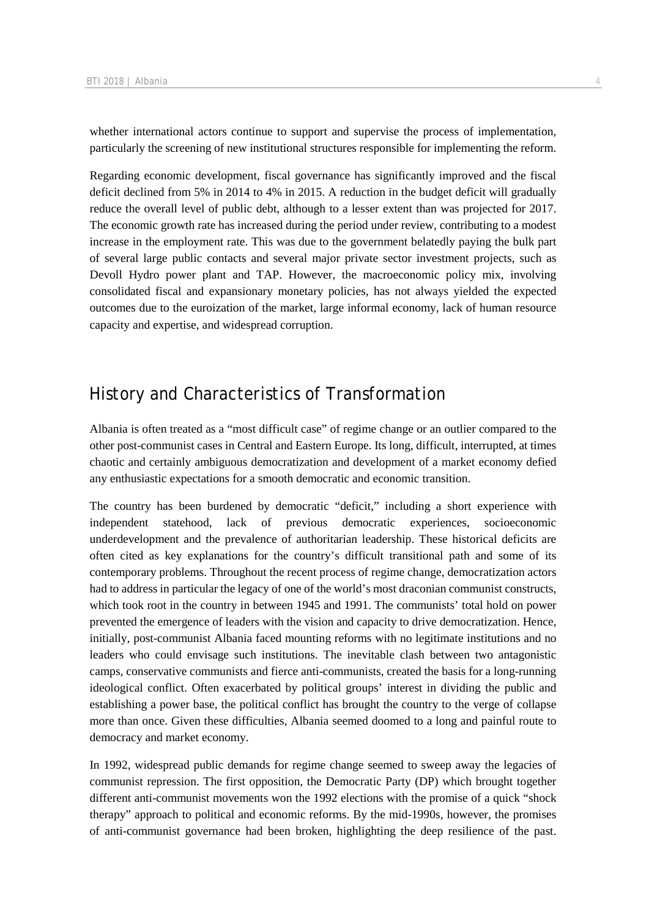whether international actors continue to support and supervise the process of implementation, particularly the screening of new institutional structures responsible for implementing the reform.

Regarding economic development, fiscal governance has significantly improved and the fiscal deficit declined from 5% in 2014 to 4% in 2015. A reduction in the budget deficit will gradually reduce the overall level of public debt, although to a lesser extent than was projected for 2017. The economic growth rate has increased during the period under review, contributing to a modest increase in the employment rate. This was due to the government belatedly paying the bulk part of several large public contacts and several major private sector investment projects, such as Devoll Hydro power plant and TAP. However, the macroeconomic policy mix, involving consolidated fiscal and expansionary monetary policies, has not always yielded the expected outcomes due to the euroization of the market, large informal economy, lack of human resource capacity and expertise, and widespread corruption.

# History and Characteristics of Transformation

Albania is often treated as a "most difficult case" of regime change or an outlier compared to the other post-communist cases in Central and Eastern Europe. Its long, difficult, interrupted, at times chaotic and certainly ambiguous democratization and development of a market economy defied any enthusiastic expectations for a smooth democratic and economic transition.

The country has been burdened by democratic "deficit," including a short experience with independent statehood, lack of previous democratic experiences, socioeconomic underdevelopment and the prevalence of authoritarian leadership. These historical deficits are often cited as key explanations for the country's difficult transitional path and some of its contemporary problems. Throughout the recent process of regime change, democratization actors had to address in particular the legacy of one of the world's most draconian communist constructs, which took root in the country in between 1945 and 1991. The communists' total hold on power prevented the emergence of leaders with the vision and capacity to drive democratization. Hence, initially, post-communist Albania faced mounting reforms with no legitimate institutions and no leaders who could envisage such institutions. The inevitable clash between two antagonistic camps, conservative communists and fierce anti-communists, created the basis for a long-running ideological conflict. Often exacerbated by political groups' interest in dividing the public and establishing a power base, the political conflict has brought the country to the verge of collapse more than once. Given these difficulties, Albania seemed doomed to a long and painful route to democracy and market economy.

In 1992, widespread public demands for regime change seemed to sweep away the legacies of communist repression. The first opposition, the Democratic Party (DP) which brought together different anti-communist movements won the 1992 elections with the promise of a quick "shock therapy" approach to political and economic reforms. By the mid-1990s, however, the promises of anti-communist governance had been broken, highlighting the deep resilience of the past.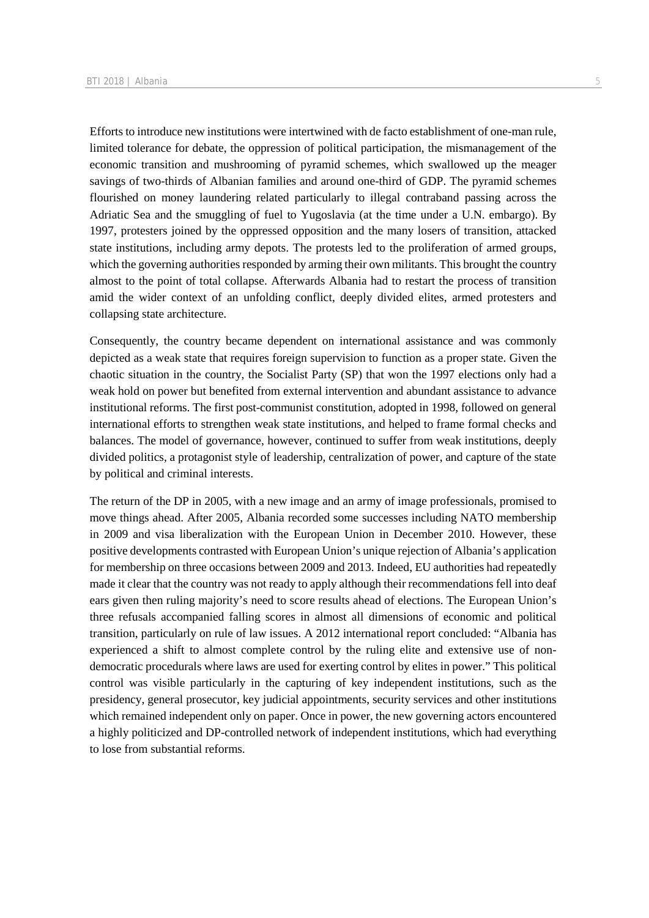Efforts to introduce new institutions were intertwined with de facto establishment of one-man rule, limited tolerance for debate, the oppression of political participation, the mismanagement of the economic transition and mushrooming of pyramid schemes, which swallowed up the meager savings of two-thirds of Albanian families and around one-third of GDP. The pyramid schemes flourished on money laundering related particularly to illegal contraband passing across the Adriatic Sea and the smuggling of fuel to Yugoslavia (at the time under a U.N. embargo). By 1997, protesters joined by the oppressed opposition and the many losers of transition, attacked state institutions, including army depots. The protests led to the proliferation of armed groups, which the governing authorities responded by arming their own militants. This brought the country almost to the point of total collapse. Afterwards Albania had to restart the process of transition amid the wider context of an unfolding conflict, deeply divided elites, armed protesters and collapsing state architecture.

Consequently, the country became dependent on international assistance and was commonly depicted as a weak state that requires foreign supervision to function as a proper state. Given the chaotic situation in the country, the Socialist Party (SP) that won the 1997 elections only had a weak hold on power but benefited from external intervention and abundant assistance to advance institutional reforms. The first post-communist constitution, adopted in 1998, followed on general international efforts to strengthen weak state institutions, and helped to frame formal checks and balances. The model of governance, however, continued to suffer from weak institutions, deeply divided politics, a protagonist style of leadership, centralization of power, and capture of the state by political and criminal interests.

The return of the DP in 2005, with a new image and an army of image professionals, promised to move things ahead. After 2005, Albania recorded some successes including NATO membership in 2009 and visa liberalization with the European Union in December 2010. However, these positive developments contrasted with European Union's unique rejection of Albania's application for membership on three occasions between 2009 and 2013. Indeed, EU authorities had repeatedly made it clear that the country was not ready to apply although their recommendations fell into deaf ears given then ruling majority's need to score results ahead of elections. The European Union's three refusals accompanied falling scores in almost all dimensions of economic and political transition, particularly on rule of law issues. A 2012 international report concluded: "Albania has experienced a shift to almost complete control by the ruling elite and extensive use of nondemocratic procedurals where laws are used for exerting control by elites in power." This political control was visible particularly in the capturing of key independent institutions, such as the presidency, general prosecutor, key judicial appointments, security services and other institutions which remained independent only on paper. Once in power, the new governing actors encountered a highly politicized and DP-controlled network of independent institutions, which had everything to lose from substantial reforms.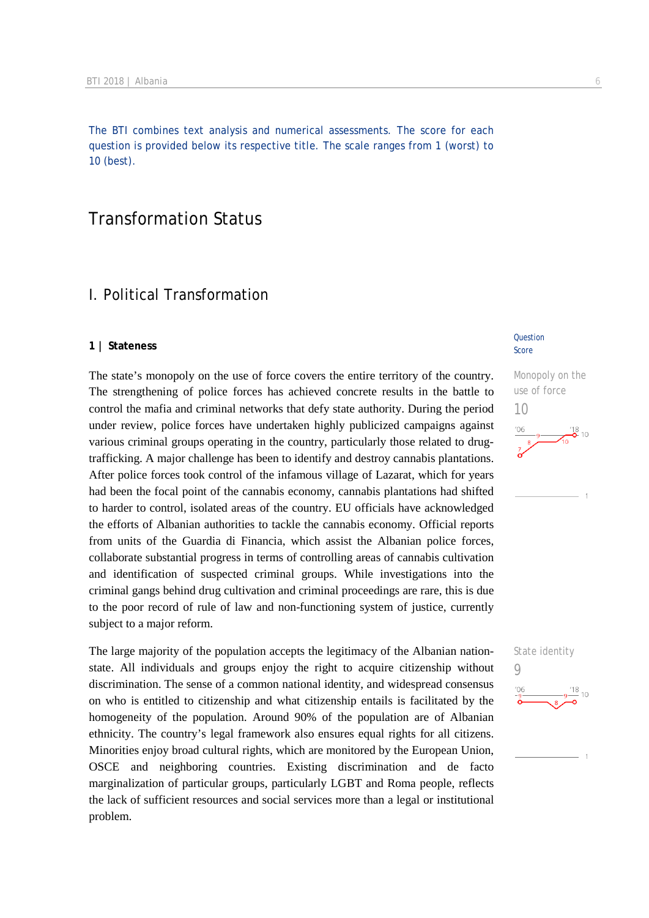The BTI combines text analysis and numerical assessments. The score for each question is provided below its respective title. The scale ranges from 1 (worst) to 10 (best).

# Transformation Status

## I. Political Transformation

#### **1 | Stateness**

The state's monopoly on the use of force covers the entire territory of the country. The strengthening of police forces has achieved concrete results in the battle to control the mafia and criminal networks that defy state authority. During the period under review, police forces have undertaken highly publicized campaigns against various criminal groups operating in the country, particularly those related to drugtrafficking. A major challenge has been to identify and destroy cannabis plantations. After police forces took control of the infamous village of Lazarat, which for years had been the focal point of the cannabis economy, cannabis plantations had shifted to harder to control, isolated areas of the country. EU officials have acknowledged the efforts of Albanian authorities to tackle the cannabis economy. Official reports from units of the Guardia di Financia, which assist the Albanian police forces, collaborate substantial progress in terms of controlling areas of cannabis cultivation and identification of suspected criminal groups. While investigations into the criminal gangs behind drug cultivation and criminal proceedings are rare, this is due to the poor record of rule of law and non-functioning system of justice, currently subject to a major reform.

The large majority of the population accepts the legitimacy of the Albanian nationstate. All individuals and groups enjoy the right to acquire citizenship without discrimination. The sense of a common national identity, and widespread consensus on who is entitled to citizenship and what citizenship entails is facilitated by the homogeneity of the population. Around 90% of the population are of Albanian ethnicity. The country's legal framework also ensures equal rights for all citizens. Minorities enjoy broad cultural rights, which are monitored by the European Union, OSCE and neighboring countries. Existing discrimination and de facto marginalization of particular groups, particularly LGBT and Roma people, reflects the lack of sufficient resources and social services more than a legal or institutional problem.

#### **Question** Score





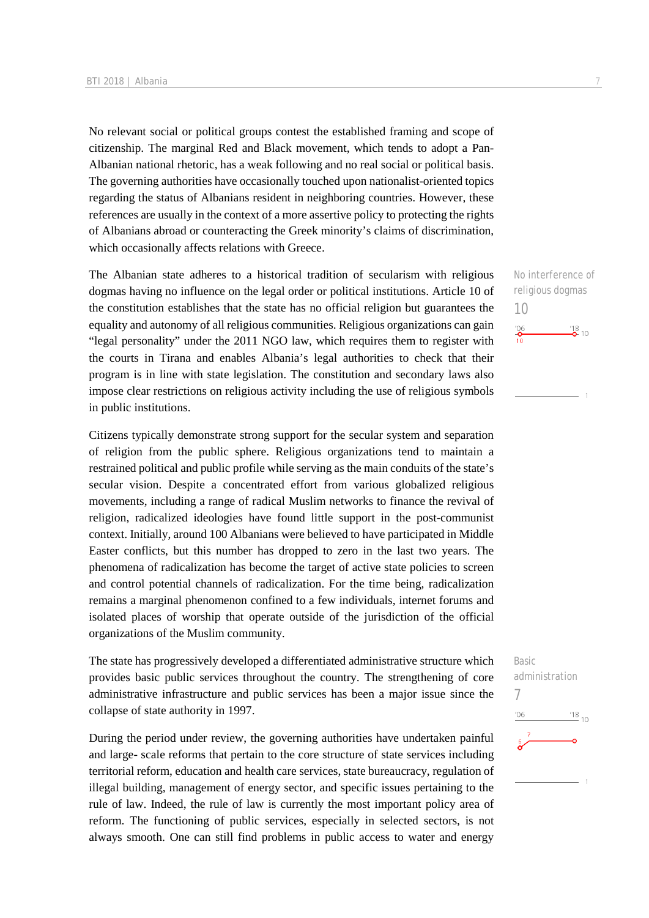No relevant social or political groups contest the established framing and scope of citizenship. The marginal Red and Black movement, which tends to adopt a Pan-Albanian national rhetoric, has a weak following and no real social or political basis. The governing authorities have occasionally touched upon nationalist-oriented topics regarding the status of Albanians resident in neighboring countries. However, these references are usually in the context of a more assertive policy to protecting the rights of Albanians abroad or counteracting the Greek minority's claims of discrimination, which occasionally affects relations with Greece.

The Albanian state adheres to a historical tradition of secularism with religious dogmas having no influence on the legal order or political institutions. Article 10 of the constitution establishes that the state has no official religion but guarantees the equality and autonomy of all religious communities. Religious organizations can gain "legal personality" under the 2011 NGO law, which requires them to register with the courts in Tirana and enables Albania's legal authorities to check that their program is in line with state legislation. The constitution and secondary laws also impose clear restrictions on religious activity including the use of religious symbols in public institutions.

Citizens typically demonstrate strong support for the secular system and separation of religion from the public sphere. Religious organizations tend to maintain a restrained political and public profile while serving as the main conduits of the state's secular vision. Despite a concentrated effort from various globalized religious movements, including a range of radical Muslim networks to finance the revival of religion, radicalized ideologies have found little support in the post-communist context. Initially, around 100 Albanians were believed to have participated in Middle Easter conflicts, but this number has dropped to zero in the last two years. The phenomena of radicalization has become the target of active state policies to screen and control potential channels of radicalization. For the time being, radicalization remains a marginal phenomenon confined to a few individuals, internet forums and isolated places of worship that operate outside of the jurisdiction of the official organizations of the Muslim community.

The state has progressively developed a differentiated administrative structure which provides basic public services throughout the country. The strengthening of core administrative infrastructure and public services has been a major issue since the collapse of state authority in 1997.

During the period under review, the governing authorities have undertaken painful and large- scale reforms that pertain to the core structure of state services including territorial reform, education and health care services, state bureaucracy, regulation of illegal building, management of energy sector, and specific issues pertaining to the rule of law. Indeed, the rule of law is currently the most important policy area of reform. The functioning of public services, especially in selected sectors, is not always smooth. One can still find problems in public access to water and energy

No interference of religious dogmas 10  $\frac{106}{10}$  $\frac{18}{2}$  10

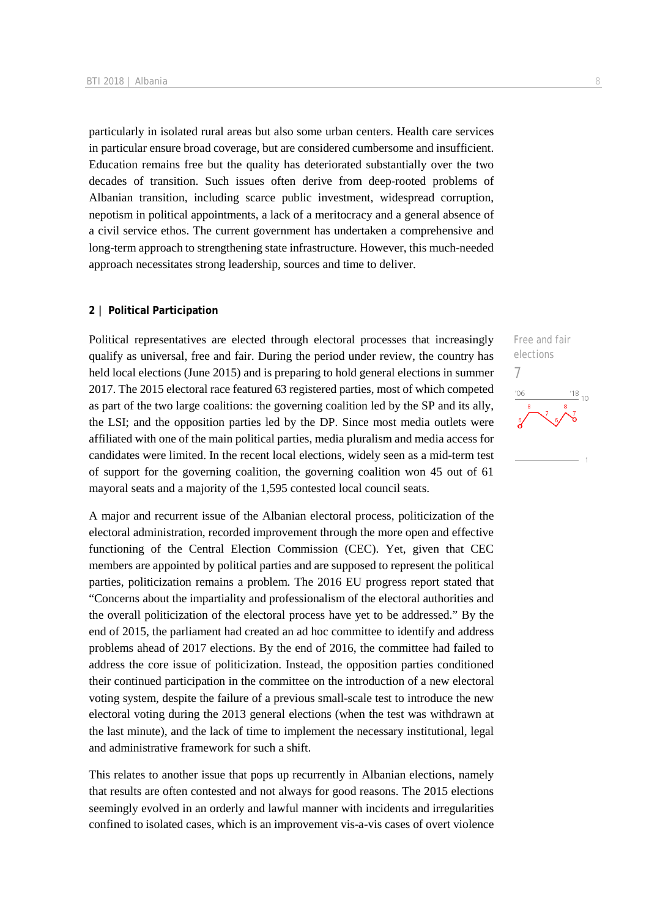particularly in isolated rural areas but also some urban centers. Health care services in particular ensure broad coverage, but are considered cumbersome and insufficient. Education remains free but the quality has deteriorated substantially over the two decades of transition. Such issues often derive from deep-rooted problems of Albanian transition, including scarce public investment, widespread corruption, nepotism in political appointments, a lack of a meritocracy and a general absence of a civil service ethos. The current government has undertaken a comprehensive and long-term approach to strengthening state infrastructure. However, this much-needed approach necessitates strong leadership, sources and time to deliver.

#### **2 | Political Participation**

Political representatives are elected through electoral processes that increasingly qualify as universal, free and fair. During the period under review, the country has held local elections (June 2015) and is preparing to hold general elections in summer 2017. The 2015 electoral race featured 63 registered parties, most of which competed as part of the two large coalitions: the governing coalition led by the SP and its ally, the LSI; and the opposition parties led by the DP. Since most media outlets were affiliated with one of the main political parties, media pluralism and media access for candidates were limited. In the recent local elections, widely seen as a mid-term test of support for the governing coalition, the governing coalition won 45 out of 61 mayoral seats and a majority of the 1,595 contested local council seats.

A major and recurrent issue of the Albanian electoral process, politicization of the electoral administration, recorded improvement through the more open and effective functioning of the Central Election Commission (CEC). Yet, given that CEC members are appointed by political parties and are supposed to represent the political parties, politicization remains a problem. The 2016 EU progress report stated that "Concerns about the impartiality and professionalism of the electoral authorities and the overall politicization of the electoral process have yet to be addressed." By the end of 2015, the parliament had created an ad hoc committee to identify and address problems ahead of 2017 elections. By the end of 2016, the committee had failed to address the core issue of politicization. Instead, the opposition parties conditioned their continued participation in the committee on the introduction of a new electoral voting system, despite the failure of a previous small-scale test to introduce the new electoral voting during the 2013 general elections (when the test was withdrawn at the last minute), and the lack of time to implement the necessary institutional, legal and administrative framework for such a shift.

This relates to another issue that pops up recurrently in Albanian elections, namely that results are often contested and not always for good reasons. The 2015 elections seemingly evolved in an orderly and lawful manner with incidents and irregularities confined to isolated cases, which is an improvement vis-a-vis cases of overt violence Free and fair elections 7'O6  $^{118}_{-10}$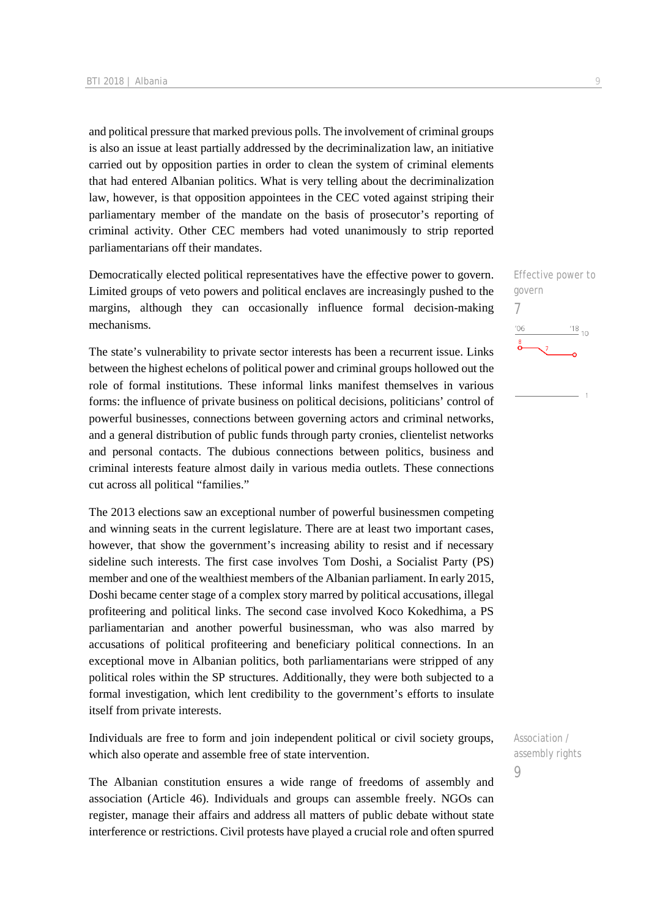and political pressure that marked previous polls. The involvement of criminal groups is also an issue at least partially addressed by the decriminalization law, an initiative carried out by opposition parties in order to clean the system of criminal elements that had entered Albanian politics. What is very telling about the decriminalization law, however, is that opposition appointees in the CEC voted against striping their parliamentary member of the mandate on the basis of prosecutor's reporting of criminal activity. Other CEC members had voted unanimously to strip reported parliamentarians off their mandates.

Democratically elected political representatives have the effective power to govern. Limited groups of veto powers and political enclaves are increasingly pushed to the margins, although they can occasionally influence formal decision-making mechanisms.

The state's vulnerability to private sector interests has been a recurrent issue. Links between the highest echelons of political power and criminal groups hollowed out the role of formal institutions. These informal links manifest themselves in various forms: the influence of private business on political decisions, politicians' control of powerful businesses, connections between governing actors and criminal networks, and a general distribution of public funds through party cronies, clientelist networks and personal contacts. The dubious connections between politics, business and criminal interests feature almost daily in various media outlets. These connections cut across all political "families."

The 2013 elections saw an exceptional number of powerful businessmen competing and winning seats in the current legislature. There are at least two important cases, however, that show the government's increasing ability to resist and if necessary sideline such interests. The first case involves Tom Doshi, a Socialist Party (PS) member and one of the wealthiest members of the Albanian parliament. In early 2015, Doshi became center stage of a complex story marred by political accusations, illegal profiteering and political links. The second case involved Koco Kokedhima, a PS parliamentarian and another powerful businessman, who was also marred by accusations of political profiteering and beneficiary political connections. In an exceptional move in Albanian politics, both parliamentarians were stripped of any political roles within the SP structures. Additionally, they were both subjected to a formal investigation, which lent credibility to the government's efforts to insulate itself from private interests.

Individuals are free to form and join independent political or civil society groups, which also operate and assemble free of state intervention.

The Albanian constitution ensures a wide range of freedoms of assembly and association (Article 46). Individuals and groups can assemble freely. NGOs can register, manage their affairs and address all matters of public debate without state interference or restrictions. Civil protests have played a crucial role and often spurred

Effective power to govern 7  $-06$  $^{118}_{10}$ 

Association / assembly rights  $\overline{Q}$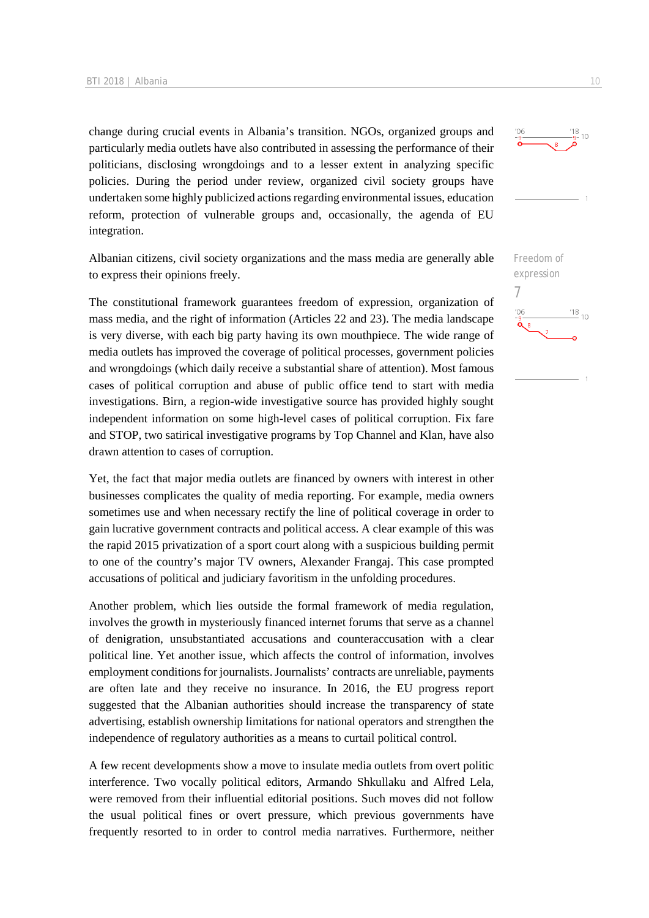change during crucial events in Albania's transition. NGOs, organized groups and particularly media outlets have also contributed in assessing the performance of their politicians, disclosing wrongdoings and to a lesser extent in analyzing specific policies. During the period under review, organized civil society groups have undertaken some highly publicized actions regarding environmental issues, education reform, protection of vulnerable groups and, occasionally, the agenda of EU integration.

Albanian citizens, civil society organizations and the mass media are generally able to express their opinions freely.

The constitutional framework guarantees freedom of expression, organization of mass media, and the right of information (Articles 22 and 23). The media landscape is very diverse, with each big party having its own mouthpiece. The wide range of media outlets has improved the coverage of political processes, government policies and wrongdoings (which daily receive a substantial share of attention). Most famous cases of political corruption and abuse of public office tend to start with media investigations. Birn, a region-wide investigative source has provided highly sought independent information on some high-level cases of political corruption. Fix fare and STOP, two satirical investigative programs by Top Channel and Klan, have also drawn attention to cases of corruption.

Yet, the fact that major media outlets are financed by owners with interest in other businesses complicates the quality of media reporting. For example, media owners sometimes use and when necessary rectify the line of political coverage in order to gain lucrative government contracts and political access. A clear example of this was the rapid 2015 privatization of a sport court along with a suspicious building permit to one of the country's major TV owners, Alexander Frangaj. This case prompted accusations of political and judiciary favoritism in the unfolding procedures.

Another problem, which lies outside the formal framework of media regulation, involves the growth in mysteriously financed internet forums that serve as a channel of denigration, unsubstantiated accusations and counteraccusation with a clear political line. Yet another issue, which affects the control of information, involves employment conditions for journalists. Journalists' contracts are unreliable, payments are often late and they receive no insurance. In 2016, the EU progress report suggested that the Albanian authorities should increase the transparency of state advertising, establish ownership limitations for national operators and strengthen the independence of regulatory authorities as a means to curtail political control.

A few recent developments show a move to insulate media outlets from overt politic interference. Two vocally political editors, Armando Shkullaku and Alfred Lela, were removed from their influential editorial positions. Such moves did not follow the usual political fines or overt pressure, which previous governments have frequently resorted to in order to control media narratives. Furthermore, neither



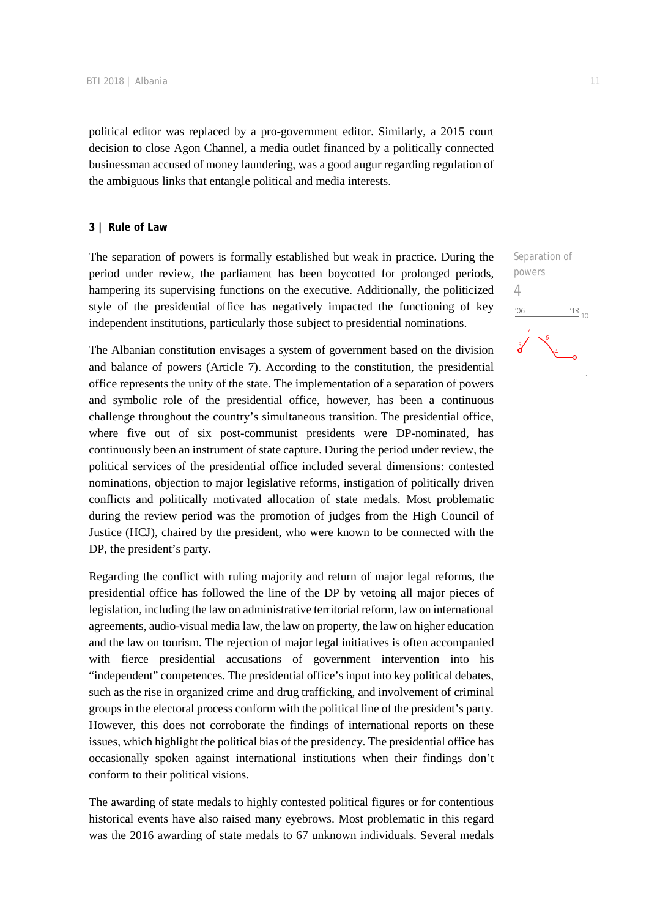political editor was replaced by a pro-government editor. Similarly, a 2015 court decision to close Agon Channel, a media outlet financed by a politically connected businessman accused of money laundering, was a good augur regarding regulation of the ambiguous links that entangle political and media interests.

#### **3 | Rule of Law**

The separation of powers is formally established but weak in practice. During the period under review, the parliament has been boycotted for prolonged periods, hampering its supervising functions on the executive. Additionally, the politicized style of the presidential office has negatively impacted the functioning of key independent institutions, particularly those subject to presidential nominations.

The Albanian constitution envisages a system of government based on the division and balance of powers (Article 7). According to the constitution, the presidential office represents the unity of the state. The implementation of a separation of powers and symbolic role of the presidential office, however, has been a continuous challenge throughout the country's simultaneous transition. The presidential office, where five out of six post-communist presidents were DP-nominated, has continuously been an instrument of state capture. During the period under review, the political services of the presidential office included several dimensions: contested nominations, objection to major legislative reforms, instigation of politically driven conflicts and politically motivated allocation of state medals. Most problematic during the review period was the promotion of judges from the High Council of Justice (HCJ), chaired by the president, who were known to be connected with the DP, the president's party.

Regarding the conflict with ruling majority and return of major legal reforms, the presidential office has followed the line of the DP by vetoing all major pieces of legislation, including the law on administrative territorial reform, law on international agreements, audio-visual media law, the law on property, the law on higher education and the law on tourism. The rejection of major legal initiatives is often accompanied with fierce presidential accusations of government intervention into his "independent" competences. The presidential office's input into key political debates, such as the rise in organized crime and drug trafficking, and involvement of criminal groups in the electoral process conform with the political line of the president's party. However, this does not corroborate the findings of international reports on these issues, which highlight the political bias of the presidency. The presidential office has occasionally spoken against international institutions when their findings don't conform to their political visions.

The awarding of state medals to highly contested political figures or for contentious historical events have also raised many eyebrows. Most problematic in this regard was the 2016 awarding of state medals to 67 unknown individuals. Several medals

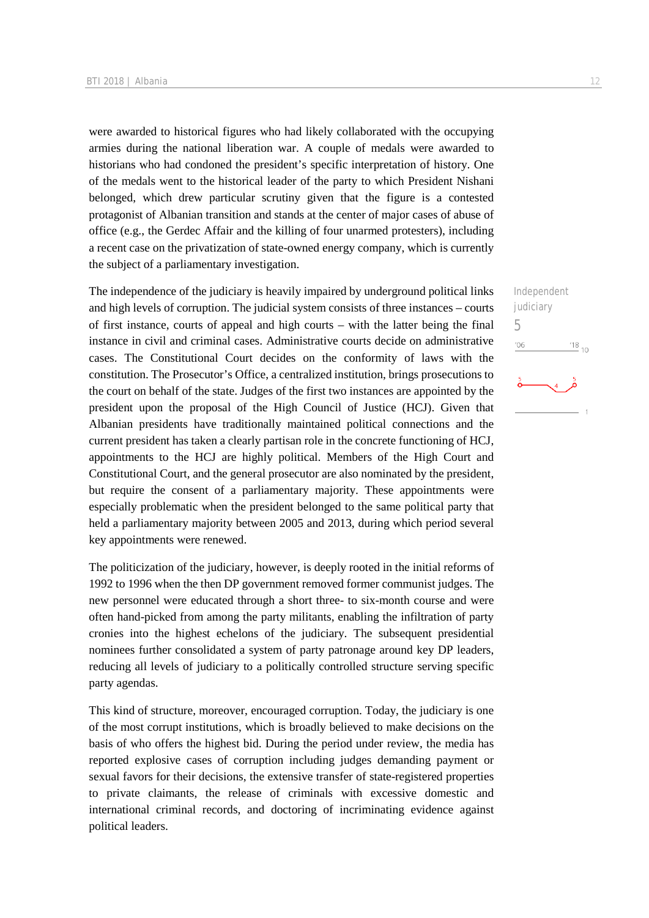were awarded to historical figures who had likely collaborated with the occupying armies during the national liberation war. A couple of medals were awarded to historians who had condoned the president's specific interpretation of history. One of the medals went to the historical leader of the party to which President Nishani belonged, which drew particular scrutiny given that the figure is a contested protagonist of Albanian transition and stands at the center of major cases of abuse of office (e.g., the Gerdec Affair and the killing of four unarmed protesters), including a recent case on the privatization of state-owned energy company, which is currently the subject of a parliamentary investigation.

The independence of the judiciary is heavily impaired by underground political links and high levels of corruption. The judicial system consists of three instances – courts of first instance, courts of appeal and high courts – with the latter being the final instance in civil and criminal cases. Administrative courts decide on administrative cases. The Constitutional Court decides on the conformity of laws with the constitution. The Prosecutor's Office, a centralized institution, brings prosecutions to the court on behalf of the state. Judges of the first two instances are appointed by the president upon the proposal of the High Council of Justice (HCJ). Given that Albanian presidents have traditionally maintained political connections and the current president has taken a clearly partisan role in the concrete functioning of HCJ, appointments to the HCJ are highly political. Members of the High Court and Constitutional Court, and the general prosecutor are also nominated by the president, but require the consent of a parliamentary majority. These appointments were especially problematic when the president belonged to the same political party that held a parliamentary majority between 2005 and 2013, during which period several key appointments were renewed.

The politicization of the judiciary, however, is deeply rooted in the initial reforms of 1992 to 1996 when the then DP government removed former communist judges. The new personnel were educated through a short three- to six-month course and were often hand-picked from among the party militants, enabling the infiltration of party cronies into the highest echelons of the judiciary. The subsequent presidential nominees further consolidated a system of party patronage around key DP leaders, reducing all levels of judiciary to a politically controlled structure serving specific party agendas.

This kind of structure, moreover, encouraged corruption. Today, the judiciary is one of the most corrupt institutions, which is broadly believed to make decisions on the basis of who offers the highest bid. During the period under review, the media has reported explosive cases of corruption including judges demanding payment or sexual favors for their decisions, the extensive transfer of state-registered properties to private claimants, the release of criminals with excessive domestic and international criminal records, and doctoring of incriminating evidence against political leaders.

Independent judiciary

 $^{18}_{-10}$ 

5

 $106$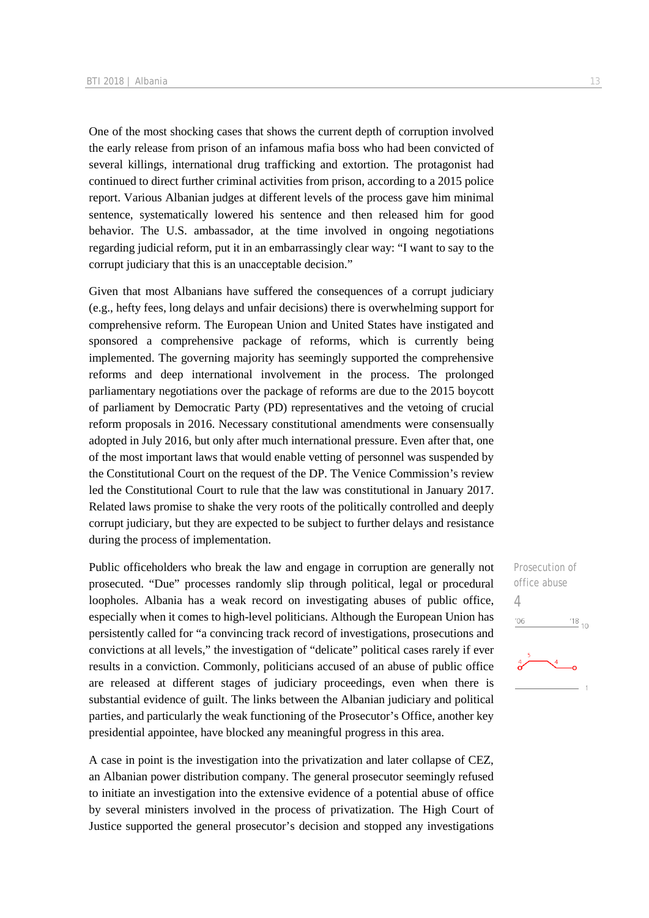One of the most shocking cases that shows the current depth of corruption involved the early release from prison of an infamous mafia boss who had been convicted of several killings, international drug trafficking and extortion. The protagonist had continued to direct further criminal activities from prison, according to a 2015 police report. Various Albanian judges at different levels of the process gave him minimal sentence, systematically lowered his sentence and then released him for good behavior. The U.S. ambassador, at the time involved in ongoing negotiations regarding judicial reform, put it in an embarrassingly clear way: "I want to say to the corrupt judiciary that this is an unacceptable decision."

Given that most Albanians have suffered the consequences of a corrupt judiciary (e.g., hefty fees, long delays and unfair decisions) there is overwhelming support for comprehensive reform. The European Union and United States have instigated and sponsored a comprehensive package of reforms, which is currently being implemented. The governing majority has seemingly supported the comprehensive reforms and deep international involvement in the process. The prolonged parliamentary negotiations over the package of reforms are due to the 2015 boycott of parliament by Democratic Party (PD) representatives and the vetoing of crucial reform proposals in 2016. Necessary constitutional amendments were consensually adopted in July 2016, but only after much international pressure. Even after that, one of the most important laws that would enable vetting of personnel was suspended by the Constitutional Court on the request of the DP. The Venice Commission's review led the Constitutional Court to rule that the law was constitutional in January 2017. Related laws promise to shake the very roots of the politically controlled and deeply corrupt judiciary, but they are expected to be subject to further delays and resistance during the process of implementation.

Public officeholders who break the law and engage in corruption are generally not prosecuted. "Due" processes randomly slip through political, legal or procedural loopholes. Albania has a weak record on investigating abuses of public office, especially when it comes to high-level politicians. Although the European Union has persistently called for "a convincing track record of investigations, prosecutions and convictions at all levels," the investigation of "delicate" political cases rarely if ever results in a conviction. Commonly, politicians accused of an abuse of public office are released at different stages of judiciary proceedings, even when there is substantial evidence of guilt. The links between the Albanian judiciary and political parties, and particularly the weak functioning of the Prosecutor's Office, another key presidential appointee, have blocked any meaningful progress in this area.

A case in point is the investigation into the privatization and later collapse of CEZ, an Albanian power distribution company. The general prosecutor seemingly refused to initiate an investigation into the extensive evidence of a potential abuse of office by several ministers involved in the process of privatization. The High Court of Justice supported the general prosecutor's decision and stopped any investigations

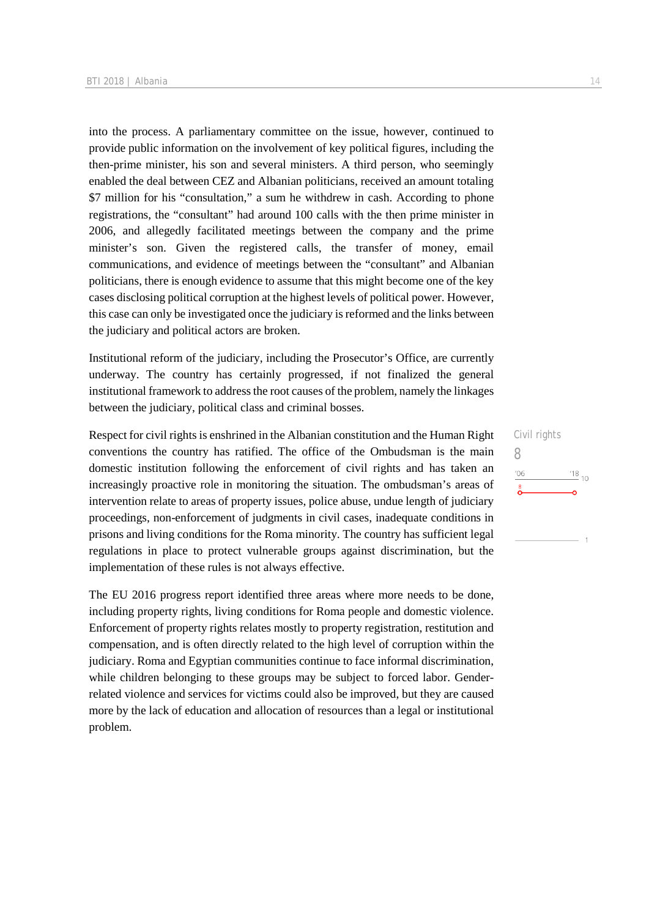into the process. A parliamentary committee on the issue, however, continued to provide public information on the involvement of key political figures, including the then-prime minister, his son and several ministers. A third person, who seemingly enabled the deal between CEZ and Albanian politicians, received an amount totaling \$7 million for his "consultation," a sum he withdrew in cash. According to phone registrations, the "consultant" had around 100 calls with the then prime minister in 2006, and allegedly facilitated meetings between the company and the prime minister's son. Given the registered calls, the transfer of money, email communications, and evidence of meetings between the "consultant" and Albanian politicians, there is enough evidence to assume that this might become one of the key cases disclosing political corruption at the highest levels of political power. However, this case can only be investigated once the judiciary is reformed and the links between the judiciary and political actors are broken.

Institutional reform of the judiciary, including the Prosecutor's Office, are currently underway. The country has certainly progressed, if not finalized the general institutional framework to address the root causes of the problem, namely the linkages between the judiciary, political class and criminal bosses.

Respect for civil rights is enshrined in the Albanian constitution and the Human Right conventions the country has ratified. The office of the Ombudsman is the main domestic institution following the enforcement of civil rights and has taken an increasingly proactive role in monitoring the situation. The ombudsman's areas of intervention relate to areas of property issues, police abuse, undue length of judiciary proceedings, non-enforcement of judgments in civil cases, inadequate conditions in prisons and living conditions for the Roma minority. The country has sufficient legal regulations in place to protect vulnerable groups against discrimination, but the implementation of these rules is not always effective.

The EU 2016 progress report identified three areas where more needs to be done, including property rights, living conditions for Roma people and domestic violence. Enforcement of property rights relates mostly to property registration, restitution and compensation, and is often directly related to the high level of corruption within the judiciary. Roma and Egyptian communities continue to face informal discrimination, while children belonging to these groups may be subject to forced labor. Genderrelated violence and services for victims could also be improved, but they are caused more by the lack of education and allocation of resources than a legal or institutional problem.

Civil rights 8 $^{18}_{-10}$  $106$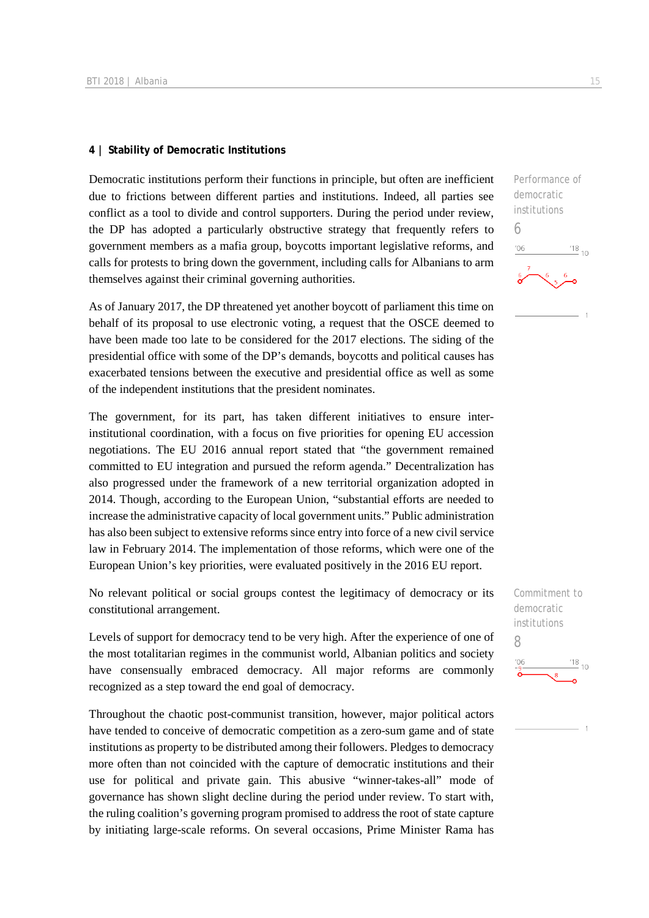#### **4 | Stability of Democratic Institutions**

Democratic institutions perform their functions in principle, but often are inefficient due to frictions between different parties and institutions. Indeed, all parties see conflict as a tool to divide and control supporters. During the period under review, the DP has adopted a particularly obstructive strategy that frequently refers to government members as a mafia group, boycotts important legislative reforms, and calls for protests to bring down the government, including calls for Albanians to arm themselves against their criminal governing authorities.

As of January 2017, the DP threatened yet another boycott of parliament this time on behalf of its proposal to use electronic voting, a request that the OSCE deemed to have been made too late to be considered for the 2017 elections. The siding of the presidential office with some of the DP's demands, boycotts and political causes has exacerbated tensions between the executive and presidential office as well as some of the independent institutions that the president nominates.

The government, for its part, has taken different initiatives to ensure interinstitutional coordination, with a focus on five priorities for opening EU accession negotiations. The EU 2016 annual report stated that "the government remained committed to EU integration and pursued the reform agenda." Decentralization has also progressed under the framework of a new territorial organization adopted in 2014. Though, according to the European Union, "substantial efforts are needed to increase the administrative capacity of local government units." Public administration has also been subject to extensive reforms since entry into force of a new civil service law in February 2014. The implementation of those reforms, which were one of the European Union's key priorities, were evaluated positively in the 2016 EU report.

No relevant political or social groups contest the legitimacy of democracy or its constitutional arrangement.

Levels of support for democracy tend to be very high. After the experience of one of the most totalitarian regimes in the communist world, Albanian politics and society have consensually embraced democracy. All major reforms are commonly recognized as a step toward the end goal of democracy.

Throughout the chaotic post-communist transition, however, major political actors have tended to conceive of democratic competition as a zero-sum game and of state institutions as property to be distributed among their followers. Pledges to democracy more often than not coincided with the capture of democratic institutions and their use for political and private gain. This abusive "winner-takes-all" mode of governance has shown slight decline during the period under review. To start with, the ruling coalition's governing program promised to address the root of state capture by initiating large-scale reforms. On several occasions, Prime Minister Rama has

Performance of democratic institutions

6

'O6

Commitment to democratic institutions 8 $\frac{18}{10}$  10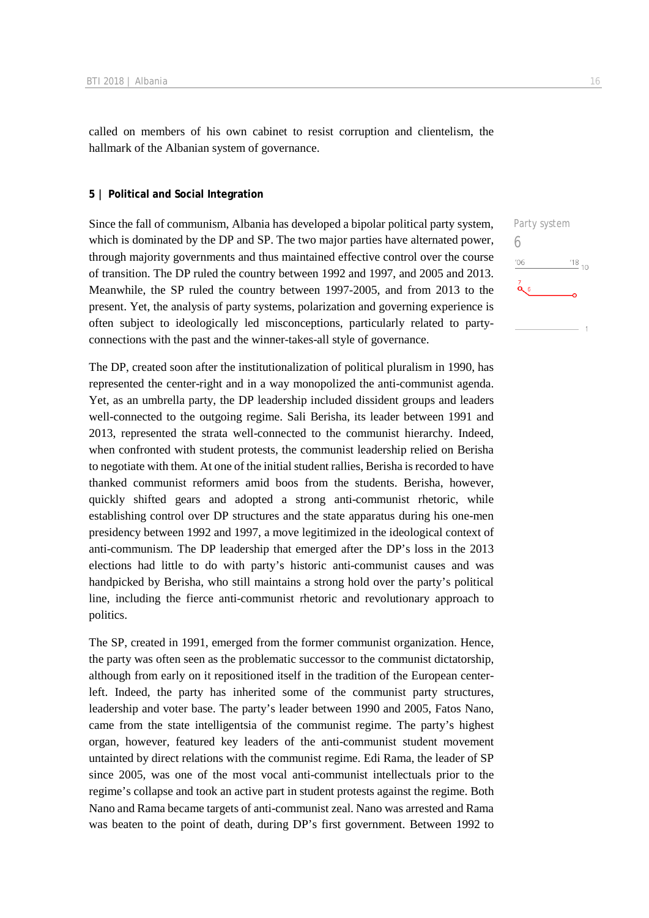called on members of his own cabinet to resist corruption and clientelism, the hallmark of the Albanian system of governance.

#### **5 | Political and Social Integration**

Since the fall of communism, Albania has developed a bipolar political party system, which is dominated by the DP and SP. The two major parties have alternated power, through majority governments and thus maintained effective control over the course of transition. The DP ruled the country between 1992 and 1997, and 2005 and 2013. Meanwhile, the SP ruled the country between 1997-2005, and from 2013 to the present. Yet, the analysis of party systems, polarization and governing experience is often subject to ideologically led misconceptions, particularly related to partyconnections with the past and the winner-takes-all style of governance.

The DP, created soon after the institutionalization of political pluralism in 1990, has represented the center-right and in a way monopolized the anti-communist agenda. Yet, as an umbrella party, the DP leadership included dissident groups and leaders well-connected to the outgoing regime. Sali Berisha, its leader between 1991 and 2013, represented the strata well-connected to the communist hierarchy. Indeed, when confronted with student protests, the communist leadership relied on Berisha to negotiate with them. At one of the initial student rallies, Berisha is recorded to have thanked communist reformers amid boos from the students. Berisha, however, quickly shifted gears and adopted a strong anti-communist rhetoric, while establishing control over DP structures and the state apparatus during his one-men presidency between 1992 and 1997, a move legitimized in the ideological context of anti-communism. The DP leadership that emerged after the DP's loss in the 2013 elections had little to do with party's historic anti-communist causes and was handpicked by Berisha, who still maintains a strong hold over the party's political line, including the fierce anti-communist rhetoric and revolutionary approach to politics.

The SP, created in 1991, emerged from the former communist organization. Hence, the party was often seen as the problematic successor to the communist dictatorship, although from early on it repositioned itself in the tradition of the European centerleft. Indeed, the party has inherited some of the communist party structures, leadership and voter base. The party's leader between 1990 and 2005, Fatos Nano, came from the state intelligentsia of the communist regime. The party's highest organ, however, featured key leaders of the anti-communist student movement untainted by direct relations with the communist regime. Edi Rama, the leader of SP since 2005, was one of the most vocal anti-communist intellectuals prior to the regime's collapse and took an active part in student protests against the regime. Both Nano and Rama became targets of anti-communist zeal. Nano was arrested and Rama was beaten to the point of death, during DP's first government. Between 1992 to

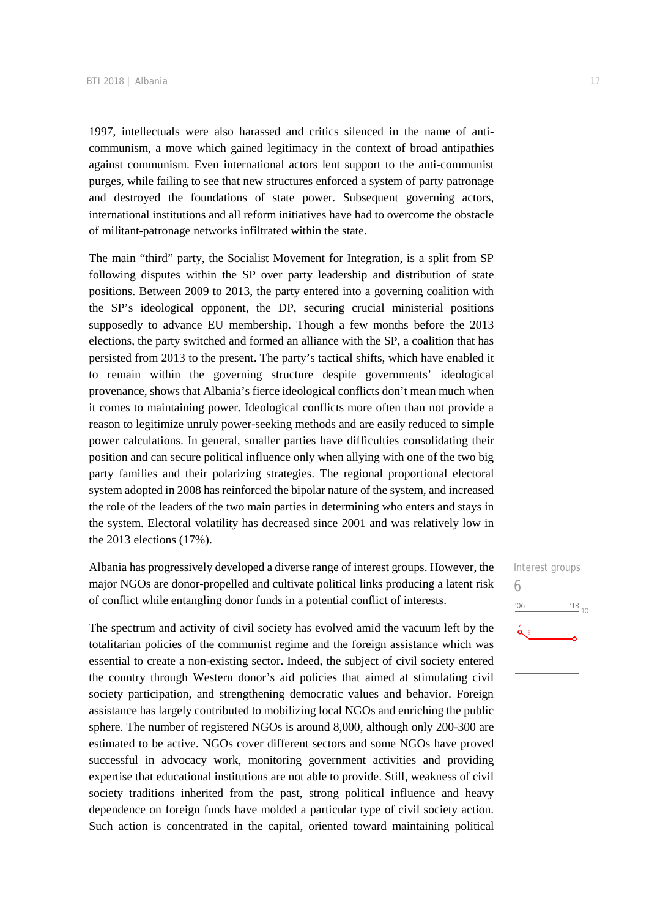1997, intellectuals were also harassed and critics silenced in the name of anticommunism, a move which gained legitimacy in the context of broad antipathies against communism. Even international actors lent support to the anti-communist purges, while failing to see that new structures enforced a system of party patronage and destroyed the foundations of state power. Subsequent governing actors, international institutions and all reform initiatives have had to overcome the obstacle of militant-patronage networks infiltrated within the state.

The main "third" party, the Socialist Movement for Integration, is a split from SP following disputes within the SP over party leadership and distribution of state positions. Between 2009 to 2013, the party entered into a governing coalition with the SP's ideological opponent, the DP, securing crucial ministerial positions supposedly to advance EU membership. Though a few months before the 2013 elections, the party switched and formed an alliance with the SP, a coalition that has persisted from 2013 to the present. The party's tactical shifts, which have enabled it to remain within the governing structure despite governments' ideological provenance, shows that Albania's fierce ideological conflicts don't mean much when it comes to maintaining power. Ideological conflicts more often than not provide a reason to legitimize unruly power-seeking methods and are easily reduced to simple power calculations. In general, smaller parties have difficulties consolidating their position and can secure political influence only when allying with one of the two big party families and their polarizing strategies. The regional proportional electoral system adopted in 2008 has reinforced the bipolar nature of the system, and increased the role of the leaders of the two main parties in determining who enters and stays in the system. Electoral volatility has decreased since 2001 and was relatively low in the 2013 elections (17%).

Albania has progressively developed a diverse range of interest groups. However, the major NGOs are donor-propelled and cultivate political links producing a latent risk of conflict while entangling donor funds in a potential conflict of interests.

The spectrum and activity of civil society has evolved amid the vacuum left by the totalitarian policies of the communist regime and the foreign assistance which was essential to create a non-existing sector. Indeed, the subject of civil society entered the country through Western donor's aid policies that aimed at stimulating civil society participation, and strengthening democratic values and behavior. Foreign assistance has largely contributed to mobilizing local NGOs and enriching the public sphere. The number of registered NGOs is around 8,000, although only 200-300 are estimated to be active. NGOs cover different sectors and some NGOs have proved successful in advocacy work, monitoring government activities and providing expertise that educational institutions are not able to provide. Still, weakness of civil society traditions inherited from the past, strong political influence and heavy dependence on foreign funds have molded a particular type of civil society action. Such action is concentrated in the capital, oriented toward maintaining political

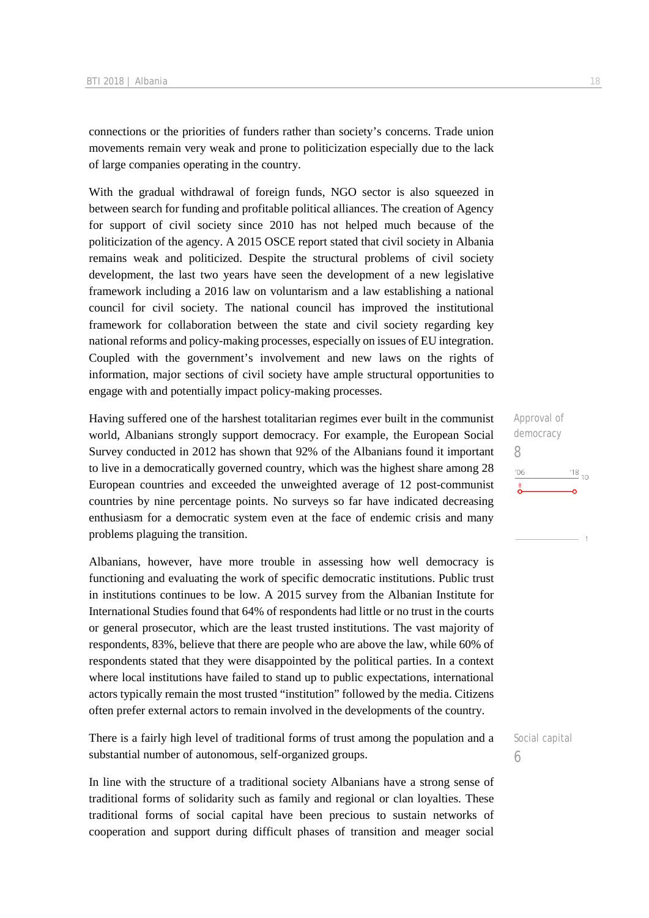connections or the priorities of funders rather than society's concerns. Trade union movements remain very weak and prone to politicization especially due to the lack of large companies operating in the country.

With the gradual withdrawal of foreign funds, NGO sector is also squeezed in between search for funding and profitable political alliances. The creation of Agency for support of civil society since 2010 has not helped much because of the politicization of the agency. A 2015 OSCE report stated that civil society in Albania remains weak and politicized. Despite the structural problems of civil society development, the last two years have seen the development of a new legislative framework including a 2016 law on voluntarism and a law establishing a national council for civil society. The national council has improved the institutional framework for collaboration between the state and civil society regarding key national reforms and policy-making processes, especially on issues of EU integration. Coupled with the government's involvement and new laws on the rights of information, major sections of civil society have ample structural opportunities to engage with and potentially impact policy-making processes.

Having suffered one of the harshest totalitarian regimes ever built in the communist world, Albanians strongly support democracy. For example, the European Social Survey conducted in 2012 has shown that 92% of the Albanians found it important to live in a democratically governed country, which was the highest share among 28 European countries and exceeded the unweighted average of 12 post-communist countries by nine percentage points. No surveys so far have indicated decreasing enthusiasm for a democratic system even at the face of endemic crisis and many problems plaguing the transition.

Albanians, however, have more trouble in assessing how well democracy is functioning and evaluating the work of specific democratic institutions. Public trust in institutions continues to be low. A 2015 survey from the Albanian Institute for International Studies found that 64% of respondents had little or no trust in the courts or general prosecutor, which are the least trusted institutions. The vast majority of respondents, 83%, believe that there are people who are above the law, while 60% of respondents stated that they were disappointed by the political parties. In a context where local institutions have failed to stand up to public expectations, international actors typically remain the most trusted "institution" followed by the media. Citizens often prefer external actors to remain involved in the developments of the country.

There is a fairly high level of traditional forms of trust among the population and a substantial number of autonomous, self-organized groups.

In line with the structure of a traditional society Albanians have a strong sense of traditional forms of solidarity such as family and regional or clan loyalties. These traditional forms of social capital have been precious to sustain networks of cooperation and support during difficult phases of transition and meager social

Approval of democracy 8  $^{18}_{-10}$  $'06$ 

Social capital 6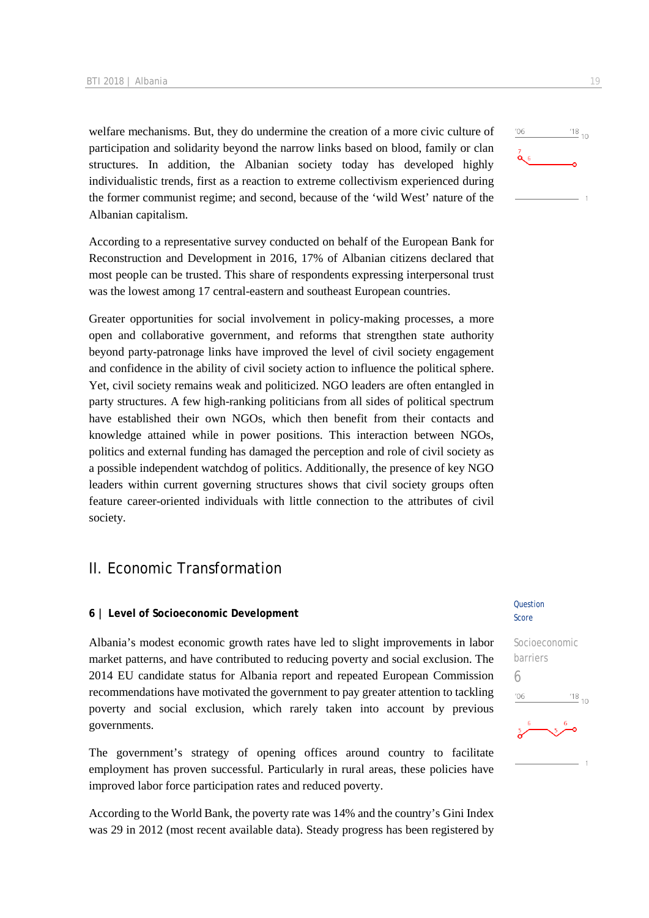welfare mechanisms. But, they do undermine the creation of a more civic culture of participation and solidarity beyond the narrow links based on blood, family or clan structures. In addition, the Albanian society today has developed highly individualistic trends, first as a reaction to extreme collectivism experienced during the former communist regime; and second, because of the 'wild West' nature of the Albanian capitalism.

According to a representative survey conducted on behalf of the European Bank for Reconstruction and Development in 2016, 17% of Albanian citizens declared that most people can be trusted. This share of respondents expressing interpersonal trust was the lowest among 17 central-eastern and southeast European countries.

Greater opportunities for social involvement in policy-making processes, a more open and collaborative government, and reforms that strengthen state authority beyond party-patronage links have improved the level of civil society engagement and confidence in the ability of civil society action to influence the political sphere. Yet, civil society remains weak and politicized. NGO leaders are often entangled in party structures. A few high-ranking politicians from all sides of political spectrum have established their own NGOs, which then benefit from their contacts and knowledge attained while in power positions. This interaction between NGOs, politics and external funding has damaged the perception and role of civil society as a possible independent watchdog of politics. Additionally, the presence of key NGO leaders within current governing structures shows that civil society groups often feature career-oriented individuals with little connection to the attributes of civil society.

# II. Economic Transformation

#### **6 | Level of Socioeconomic Development**

Albania's modest economic growth rates have led to slight improvements in labor market patterns, and have contributed to reducing poverty and social exclusion. The 2014 EU candidate status for Albania report and repeated European Commission recommendations have motivated the government to pay greater attention to tackling poverty and social exclusion, which rarely taken into account by previous governments.

The government's strategy of opening offices around country to facilitate employment has proven successful. Particularly in rural areas, these policies have improved labor force participation rates and reduced poverty.

According to the World Bank, the poverty rate was 14% and the country's Gini Index was 29 in 2012 (most recent available data). Steady progress has been registered by

#### **Ouestion** Score

# Socioeconomic barriers 6 $^{18}_{-10}$

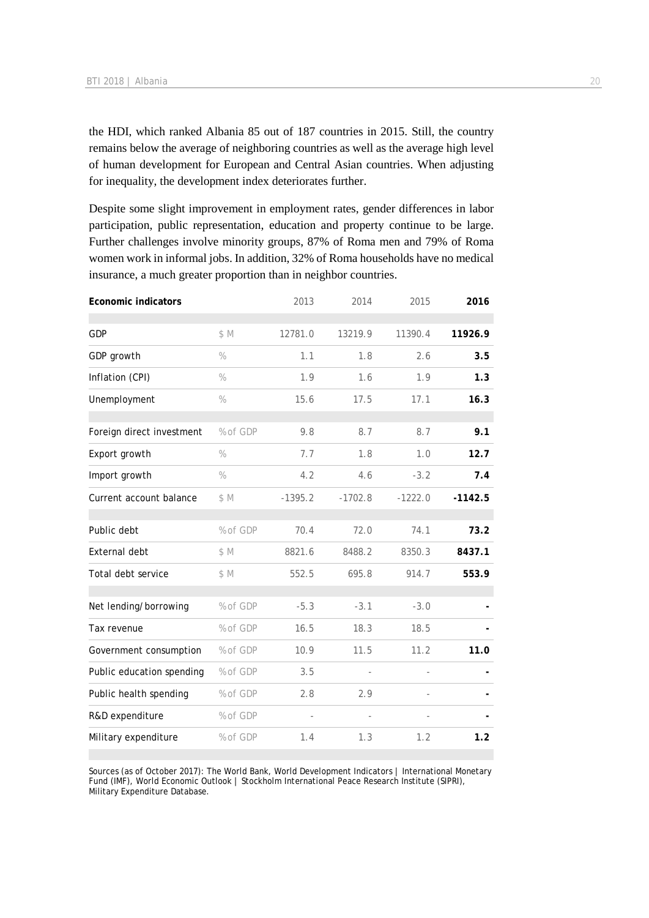the HDI, which ranked Albania 85 out of 187 countries in 2015. Still, the country remains below the average of neighboring countries as well as the average high level of human development for European and Central Asian countries. When adjusting for inequality, the development index deteriorates further.

Despite some slight improvement in employment rates, gender differences in labor participation, public representation, education and property continue to be large. Further challenges involve minority groups, 87% of Roma men and 79% of Roma women work in informal jobs. In addition, 32% of Roma households have no medical insurance, a much greater proportion than in neighbor countries.

|               |           |           |           | 2016         |
|---------------|-----------|-----------|-----------|--------------|
| \$M           | 12781.0   | 13219.9   | 11390.4   | 11926.9      |
| $\%$          | 1.1       | 1.8       | 2.6       | 3.5          |
| $\frac{0}{0}$ | 1.9       | 1.6       | 1.9       | 1.3          |
| $\frac{0}{0}$ | 15.6      | 17.5      | 17.1      | 16.3         |
| % of GDP      | 9.8       | 8.7       | 8.7       | 9.1          |
| $\frac{0}{0}$ | 7.7       | 1.8       | 1.0       | 12.7         |
| $\%$          | 4.2       | 4.6       | $-3.2$    | 7.4          |
| \$M           | $-1395.2$ | $-1702.8$ | $-1222.0$ | $-1142.5$    |
| % of GDP      | 70.4      | 72.0      | 74.1      | 73.2         |
| \$M           | 8821.6    | 8488.2    | 8350.3    | 8437.1       |
| \$M           | 552.5     | 695.8     | 914.7     | 553.9        |
| % of GDP      | $-5.3$    | $-3.1$    | $-3.0$    |              |
| % of GDP      | 16.5      | 18.3      | 18.5      |              |
| % of GDP      | 10.9      | 11.5      | 11.2      | 11.0         |
| % of GDP      | 3.5       | L,        |           |              |
| % of GDP      | 2.8       | 2.9       |           |              |
| % of GDP      |           | $\bar{ }$ |           |              |
| % of GDP      | 1.4       | 1.3       | 1.2       | 1.2          |
|               |           | 2013      |           | 2014<br>2015 |

Sources (as of October 2017): The World Bank, World Development Indicators | International Monetary Fund (IMF), World Economic Outlook | Stockholm International Peace Research Institute (SIPRI), Military Expenditure Database.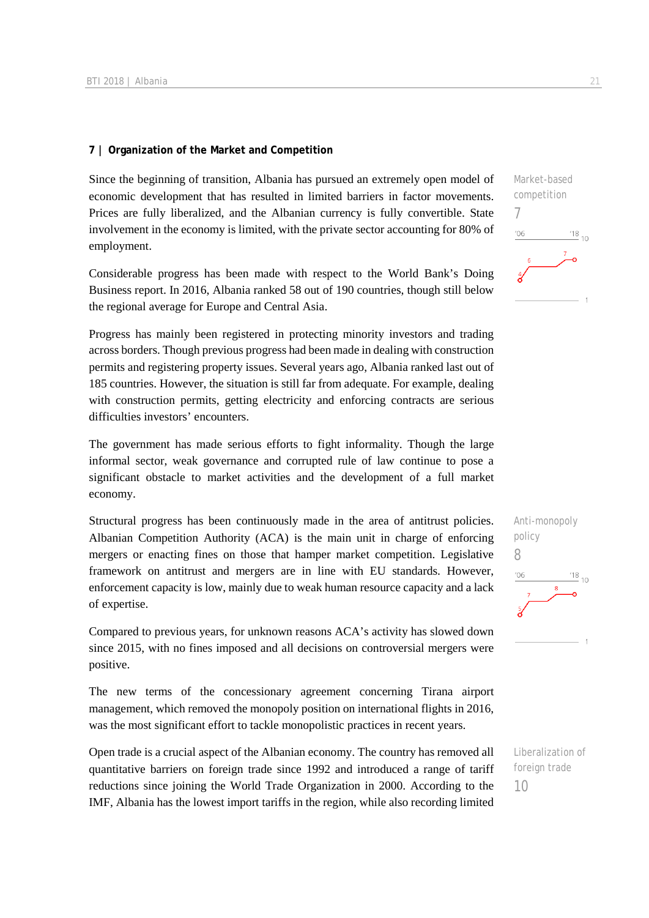#### **7 | Organization of the Market and Competition**

Since the beginning of transition, Albania has pursued an extremely open model of economic development that has resulted in limited barriers in factor movements. Prices are fully liberalized, and the Albanian currency is fully convertible. State involvement in the economy is limited, with the private sector accounting for 80% of employment.

Considerable progress has been made with respect to the World Bank's Doing Business report. In 2016, Albania ranked 58 out of 190 countries, though still below the regional average for Europe and Central Asia.

Progress has mainly been registered in protecting minority investors and trading across borders. Though previous progress had been made in dealing with construction permits and registering property issues. Several years ago, Albania ranked last out of 185 countries. However, the situation is still far from adequate. For example, dealing with construction permits, getting electricity and enforcing contracts are serious difficulties investors' encounters.

The government has made serious efforts to fight informality. Though the large informal sector, weak governance and corrupted rule of law continue to pose a significant obstacle to market activities and the development of a full market economy.

Structural progress has been continuously made in the area of antitrust policies. Albanian Competition Authority (ACA) is the main unit in charge of enforcing mergers or enacting fines on those that hamper market competition. Legislative framework on antitrust and mergers are in line with EU standards. However, enforcement capacity is low, mainly due to weak human resource capacity and a lack of expertise.

Compared to previous years, for unknown reasons ACA's activity has slowed down since 2015, with no fines imposed and all decisions on controversial mergers were positive.

The new terms of the concessionary agreement concerning Tirana airport management, which removed the monopoly position on international flights in 2016, was the most significant effort to tackle monopolistic practices in recent years.

Open trade is a crucial aspect of the Albanian economy. The country has removed all quantitative barriers on foreign trade since 1992 and introduced a range of tariff reductions since joining the World Trade Organization in 2000. According to the IMF, Albania has the lowest import tariffs in the region, while also recording limited



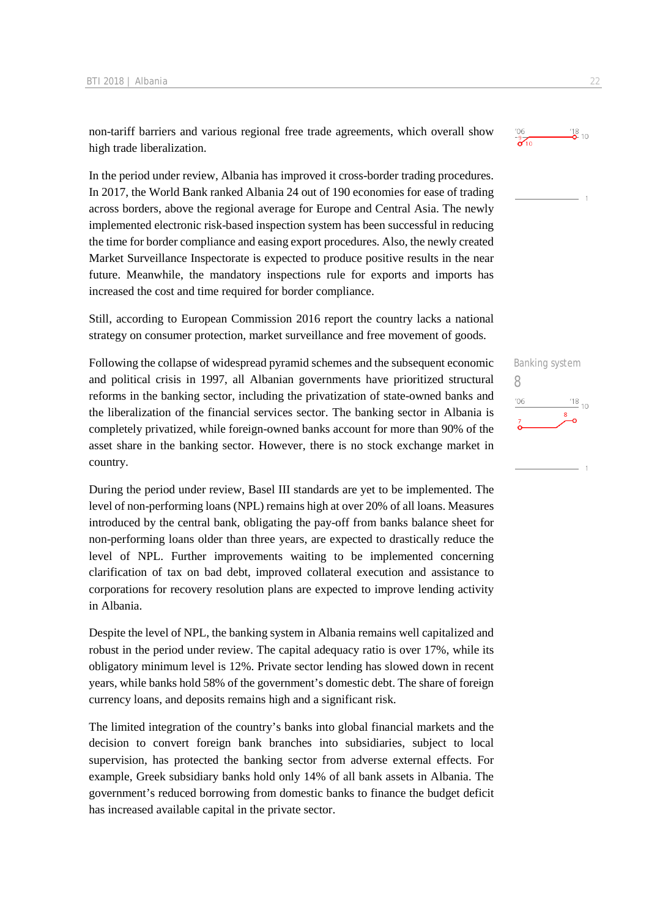non-tariff barriers and various regional free trade agreements, which overall show high trade liberalization.

In the period under review, Albania has improved it cross-border trading procedures. In 2017, the World Bank ranked Albania 24 out of 190 economies for ease of trading across borders, above the regional average for Europe and Central Asia. The newly implemented electronic risk-based inspection system has been successful in reducing the time for border compliance and easing export procedures. Also, the newly created Market Surveillance Inspectorate is expected to produce positive results in the near future. Meanwhile, the mandatory inspections rule for exports and imports has increased the cost and time required for border compliance.

Still, according to European Commission 2016 report the country lacks a national strategy on consumer protection, market surveillance and free movement of goods.

Following the collapse of widespread pyramid schemes and the subsequent economic and political crisis in 1997, all Albanian governments have prioritized structural reforms in the banking sector, including the privatization of state-owned banks and the liberalization of the financial services sector. The banking sector in Albania is completely privatized, while foreign-owned banks account for more than 90% of the asset share in the banking sector. However, there is no stock exchange market in country.

During the period under review, Basel III standards are yet to be implemented. The level of non-performing loans (NPL) remains high at over 20% of all loans. Measures introduced by the central bank, obligating the pay-off from banks balance sheet for non-performing loans older than three years, are expected to drastically reduce the level of NPL. Further improvements waiting to be implemented concerning clarification of tax on bad debt, improved collateral execution and assistance to corporations for recovery resolution plans are expected to improve lending activity in Albania.

Despite the level of NPL, the banking system in Albania remains well capitalized and robust in the period under review. The capital adequacy ratio is over 17%, while its obligatory minimum level is 12%. Private sector lending has slowed down in recent years, while banks hold 58% of the government's domestic debt. The share of foreign currency loans, and deposits remains high and a significant risk.

The limited integration of the country's banks into global financial markets and the decision to convert foreign bank branches into subsidiaries, subject to local supervision, has protected the banking sector from adverse external effects. For example, Greek subsidiary banks hold only 14% of all bank assets in Albania. The government's reduced borrowing from domestic banks to finance the budget deficit has increased available capital in the private sector.



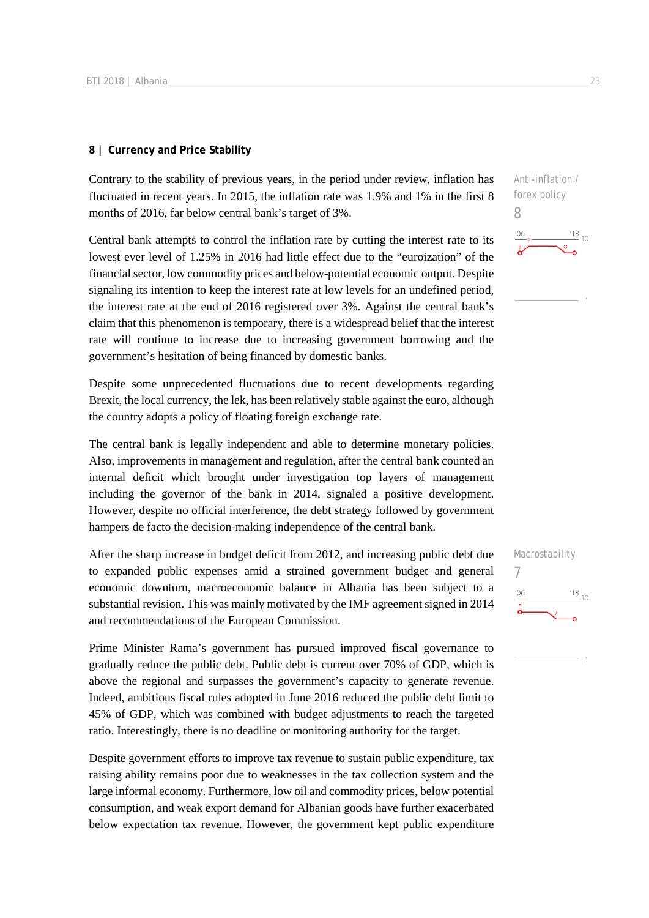#### **8 | Currency and Price Stability**

Contrary to the stability of previous years, in the period under review, inflation has fluctuated in recent years. In 2015, the inflation rate was 1.9% and 1% in the first 8 months of 2016, far below central bank's target of 3%.

Central bank attempts to control the inflation rate by cutting the interest rate to its lowest ever level of 1.25% in 2016 had little effect due to the "euroization" of the financial sector, low commodity prices and below-potential economic output. Despite signaling its intention to keep the interest rate at low levels for an undefined period, the interest rate at the end of 2016 registered over 3%. Against the central bank's claim that this phenomenon is temporary, there is a widespread belief that the interest rate will continue to increase due to increasing government borrowing and the government's hesitation of being financed by domestic banks.

Despite some unprecedented fluctuations due to recent developments regarding Brexit, the local currency, the lek, has been relatively stable against the euro, although the country adopts a policy of floating foreign exchange rate.

The central bank is legally independent and able to determine monetary policies. Also, improvements in management and regulation, after the central bank counted an internal deficit which brought under investigation top layers of management including the governor of the bank in 2014, signaled a positive development. However, despite no official interference, the debt strategy followed by government hampers de facto the decision-making independence of the central bank.

After the sharp increase in budget deficit from 2012, and increasing public debt due to expanded public expenses amid a strained government budget and general economic downturn, macroeconomic balance in Albania has been subject to a substantial revision. This was mainly motivated by the IMF agreement signed in 2014 and recommendations of the European Commission.

Prime Minister Rama's government has pursued improved fiscal governance to gradually reduce the public debt. Public debt is current over 70% of GDP, which is above the regional and surpasses the government's capacity to generate revenue. Indeed, ambitious fiscal rules adopted in June 2016 reduced the public debt limit to 45% of GDP, which was combined with budget adjustments to reach the targeted ratio. Interestingly, there is no deadline or monitoring authority for the target.

Despite government efforts to improve tax revenue to sustain public expenditure, tax raising ability remains poor due to weaknesses in the tax collection system and the large informal economy. Furthermore, low oil and commodity prices, below potential consumption, and weak export demand for Albanian goods have further exacerbated below expectation tax revenue. However, the government kept public expenditure Anti-inflation / forex policy

 $\frac{18}{10}$  10

Macrostability

 $\frac{18}{10}$  10

7

 $106$ 

8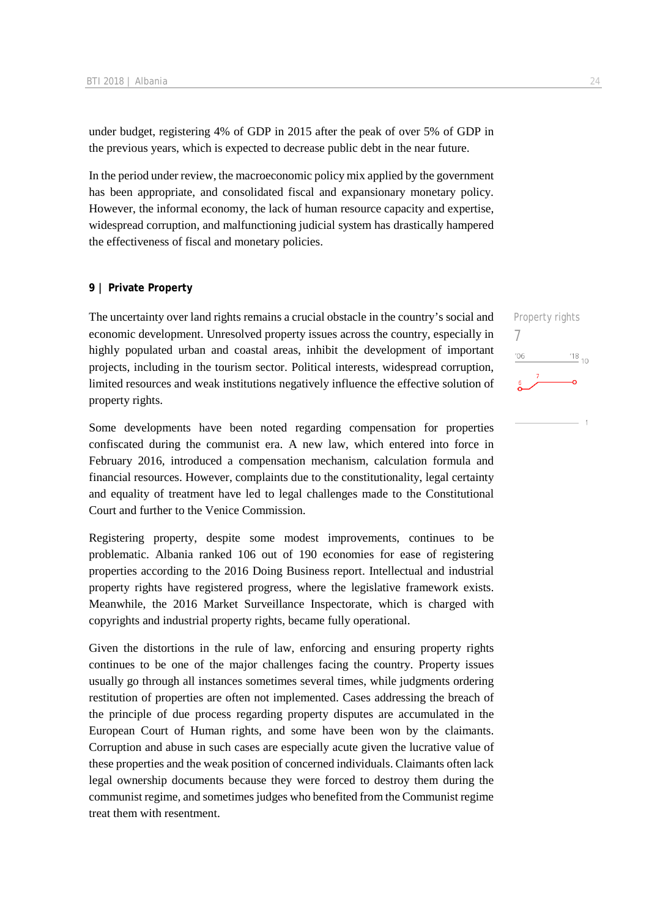under budget, registering 4% of GDP in 2015 after the peak of over 5% of GDP in the previous years, which is expected to decrease public debt in the near future.

In the period under review, the macroeconomic policy mix applied by the government has been appropriate, and consolidated fiscal and expansionary monetary policy. However, the informal economy, the lack of human resource capacity and expertise, widespread corruption, and malfunctioning judicial system has drastically hampered the effectiveness of fiscal and monetary policies.

#### **9 | Private Property**

The uncertainty over land rights remains a crucial obstacle in the country's social and economic development. Unresolved property issues across the country, especially in highly populated urban and coastal areas, inhibit the development of important projects, including in the tourism sector. Political interests, widespread corruption, limited resources and weak institutions negatively influence the effective solution of property rights.

Some developments have been noted regarding compensation for properties confiscated during the communist era. A new law, which entered into force in February 2016, introduced a compensation mechanism, calculation formula and financial resources. However, complaints due to the constitutionality, legal certainty and equality of treatment have led to legal challenges made to the Constitutional Court and further to the Venice Commission.

Registering property, despite some modest improvements, continues to be problematic. Albania ranked 106 out of 190 economies for ease of registering properties according to the 2016 Doing Business report. Intellectual and industrial property rights have registered progress, where the legislative framework exists. Meanwhile, the 2016 Market Surveillance Inspectorate, which is charged with copyrights and industrial property rights, became fully operational.

Given the distortions in the rule of law, enforcing and ensuring property rights continues to be one of the major challenges facing the country. Property issues usually go through all instances sometimes several times, while judgments ordering restitution of properties are often not implemented. Cases addressing the breach of the principle of due process regarding property disputes are accumulated in the European Court of Human rights, and some have been won by the claimants. Corruption and abuse in such cases are especially acute given the lucrative value of these properties and the weak position of concerned individuals. Claimants often lack legal ownership documents because they were forced to destroy them during the communist regime, and sometimes judges who benefited from the Communist regime treat them with resentment.

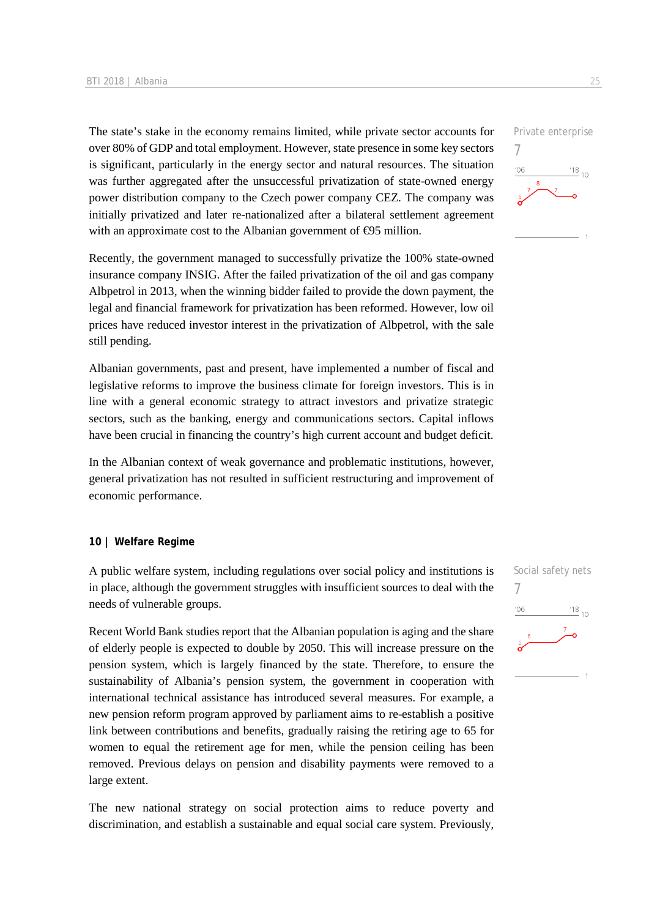The state's stake in the economy remains limited, while private sector accounts for over 80% of GDP and total employment. However, state presence in some key sectors is significant, particularly in the energy sector and natural resources. The situation was further aggregated after the unsuccessful privatization of state-owned energy power distribution company to the Czech power company CEZ. The company was initially privatized and later re-nationalized after a bilateral settlement agreement with an approximate cost to the Albanian government of  $\Theta$ 5 million.

Recently, the government managed to successfully privatize the 100% state-owned insurance company INSIG. After the failed privatization of the oil and gas company Albpetrol in 2013, when the winning bidder failed to provide the down payment, the legal and financial framework for privatization has been reformed. However, low oil prices have reduced investor interest in the privatization of Albpetrol, with the sale still pending.

Albanian governments, past and present, have implemented a number of fiscal and legislative reforms to improve the business climate for foreign investors. This is in line with a general economic strategy to attract investors and privatize strategic sectors, such as the banking, energy and communications sectors. Capital inflows have been crucial in financing the country's high current account and budget deficit.

In the Albanian context of weak governance and problematic institutions, however, general privatization has not resulted in sufficient restructuring and improvement of economic performance.

#### **10 | Welfare Regime**

A public welfare system, including regulations over social policy and institutions is in place, although the government struggles with insufficient sources to deal with the needs of vulnerable groups.

Recent World Bank studies report that the Albanian population is aging and the share of elderly people is expected to double by 2050. This will increase pressure on the pension system, which is largely financed by the state. Therefore, to ensure the sustainability of Albania's pension system, the government in cooperation with international technical assistance has introduced several measures. For example, a new pension reform program approved by parliament aims to re-establish a positive link between contributions and benefits, gradually raising the retiring age to 65 for women to equal the retirement age for men, while the pension ceiling has been removed. Previous delays on pension and disability payments were removed to a large extent.

The new national strategy on social protection aims to reduce poverty and discrimination, and establish a sustainable and equal social care system. Previously,



7

 $^{\prime}06$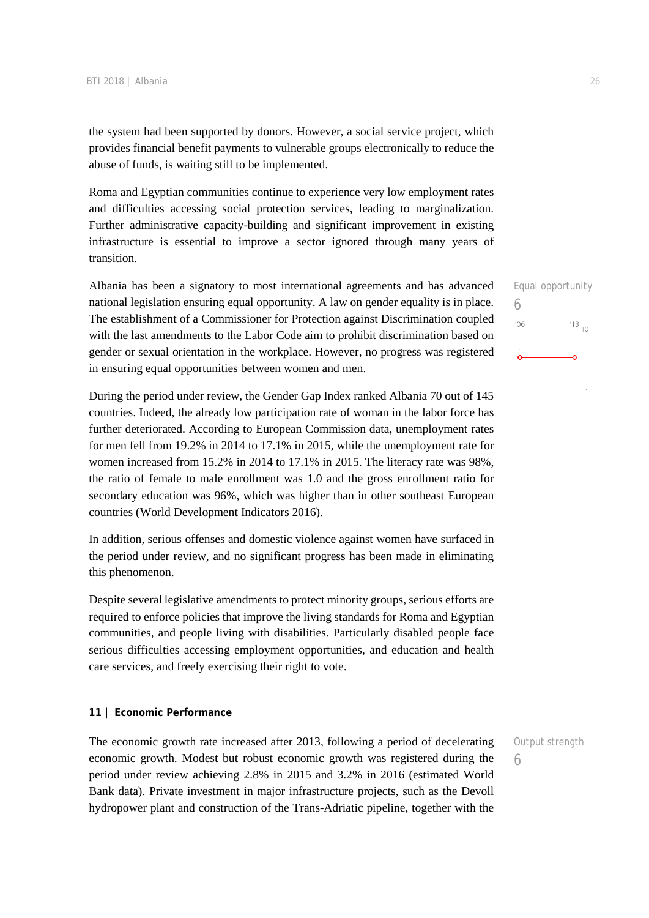the system had been supported by donors. However, a social service project, which provides financial benefit payments to vulnerable groups electronically to reduce the abuse of funds, is waiting still to be implemented.

Roma and Egyptian communities continue to experience very low employment rates and difficulties accessing social protection services, leading to marginalization. Further administrative capacity-building and significant improvement in existing infrastructure is essential to improve a sector ignored through many years of transition.

Albania has been a signatory to most international agreements and has advanced national legislation ensuring equal opportunity. A law on gender equality is in place. The establishment of a Commissioner for Protection against Discrimination coupled with the last amendments to the Labor Code aim to prohibit discrimination based on gender or sexual orientation in the workplace. However, no progress was registered in ensuring equal opportunities between women and men.

During the period under review, the Gender Gap Index ranked Albania 70 out of 145 countries. Indeed, the already low participation rate of woman in the labor force has further deteriorated. According to European Commission data, unemployment rates for men fell from 19.2% in 2014 to 17.1% in 2015, while the unemployment rate for women increased from 15.2% in 2014 to 17.1% in 2015. The literacy rate was 98%, the ratio of female to male enrollment was 1.0 and the gross enrollment ratio for secondary education was 96%, which was higher than in other southeast European countries (World Development Indicators 2016).

In addition, serious offenses and domestic violence against women have surfaced in the period under review, and no significant progress has been made in eliminating this phenomenon.

Despite several legislative amendments to protect minority groups, serious efforts are required to enforce policies that improve the living standards for Roma and Egyptian communities, and people living with disabilities. Particularly disabled people face serious difficulties accessing employment opportunities, and education and health care services, and freely exercising their right to vote.

#### **11 | Economic Performance**

The economic growth rate increased after 2013, following a period of decelerating economic growth. Modest but robust economic growth was registered during the period under review achieving 2.8% in 2015 and 3.2% in 2016 (estimated World Bank data). Private investment in major infrastructure projects, such as the Devoll hydropower plant and construction of the Trans-Adriatic pipeline, together with the

Equal opportunity 6  $\frac{18}{10}$  10  $06$ 

6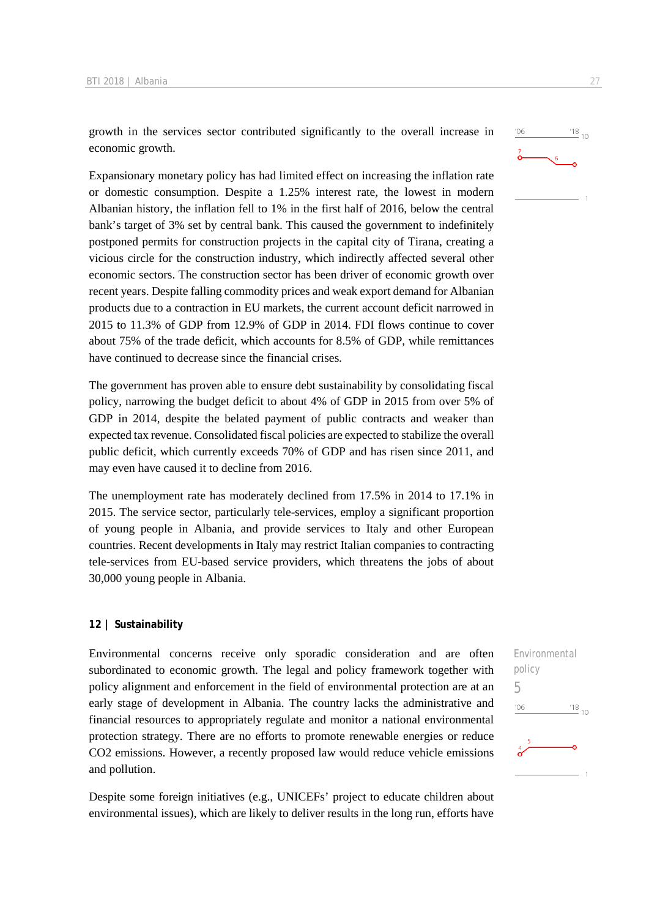growth in the services sector contributed significantly to the overall increase in economic growth.

Expansionary monetary policy has had limited effect on increasing the inflation rate or domestic consumption. Despite a 1.25% interest rate, the lowest in modern Albanian history, the inflation fell to 1% in the first half of 2016, below the central bank's target of 3% set by central bank. This caused the government to indefinitely postponed permits for construction projects in the capital city of Tirana, creating a vicious circle for the construction industry, which indirectly affected several other economic sectors. The construction sector has been driver of economic growth over recent years. Despite falling commodity prices and weak export demand for Albanian products due to a contraction in EU markets, the current account deficit narrowed in 2015 to 11.3% of GDP from 12.9% of GDP in 2014. FDI flows continue to cover about 75% of the trade deficit, which accounts for 8.5% of GDP, while remittances have continued to decrease since the financial crises.

The government has proven able to ensure debt sustainability by consolidating fiscal policy, narrowing the budget deficit to about 4% of GDP in 2015 from over 5% of GDP in 2014, despite the belated payment of public contracts and weaker than expected tax revenue. Consolidated fiscal policies are expected to stabilize the overall public deficit, which currently exceeds 70% of GDP and has risen since 2011, and may even have caused it to decline from 2016.

The unemployment rate has moderately declined from 17.5% in 2014 to 17.1% in 2015. The service sector, particularly tele-services, employ a significant proportion of young people in Albania, and provide services to Italy and other European countries. Recent developments in Italy may restrict Italian companies to contracting tele-services from EU-based service providers, which threatens the jobs of about 30,000 young people in Albania.

#### **12 | Sustainability**

Environmental concerns receive only sporadic consideration and are often subordinated to economic growth. The legal and policy framework together with policy alignment and enforcement in the field of environmental protection are at an early stage of development in Albania. The country lacks the administrative and financial resources to appropriately regulate and monitor a national environmental protection strategy. There are no efforts to promote renewable energies or reduce CO2 emissions. However, a recently proposed law would reduce vehicle emissions and pollution.

Despite some foreign initiatives (e.g., UNICEFs' project to educate children about environmental issues), which are likely to deliver results in the long run, efforts have



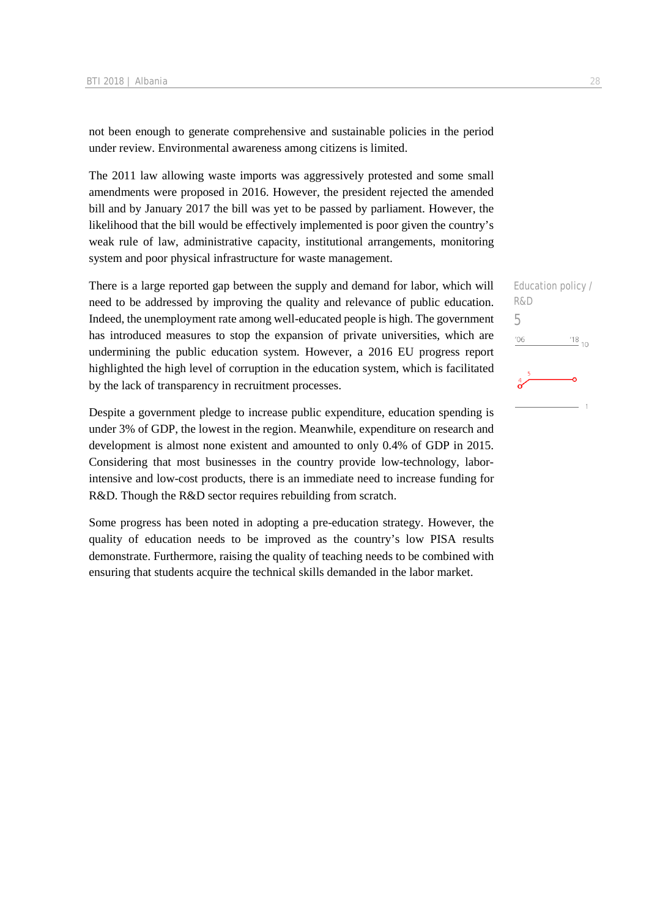not been enough to generate comprehensive and sustainable policies in the period under review. Environmental awareness among citizens is limited.

The 2011 law allowing waste imports was aggressively protested and some small amendments were proposed in 2016. However, the president rejected the amended bill and by January 2017 the bill was yet to be passed by parliament. However, the likelihood that the bill would be effectively implemented is poor given the country's weak rule of law, administrative capacity, institutional arrangements, monitoring system and poor physical infrastructure for waste management.

There is a large reported gap between the supply and demand for labor, which will need to be addressed by improving the quality and relevance of public education. Indeed, the unemployment rate among well-educated people is high. The government has introduced measures to stop the expansion of private universities, which are undermining the public education system. However, a 2016 EU progress report highlighted the high level of corruption in the education system, which is facilitated by the lack of transparency in recruitment processes.

Despite a government pledge to increase public expenditure, education spending is under 3% of GDP, the lowest in the region. Meanwhile, expenditure on research and development is almost none existent and amounted to only 0.4% of GDP in 2015. Considering that most businesses in the country provide low-technology, laborintensive and low-cost products, there is an immediate need to increase funding for R&D. Though the R&D sector requires rebuilding from scratch.

Some progress has been noted in adopting a pre-education strategy. However, the quality of education needs to be improved as the country's low PISA results demonstrate. Furthermore, raising the quality of teaching needs to be combined with ensuring that students acquire the technical skills demanded in the labor market.

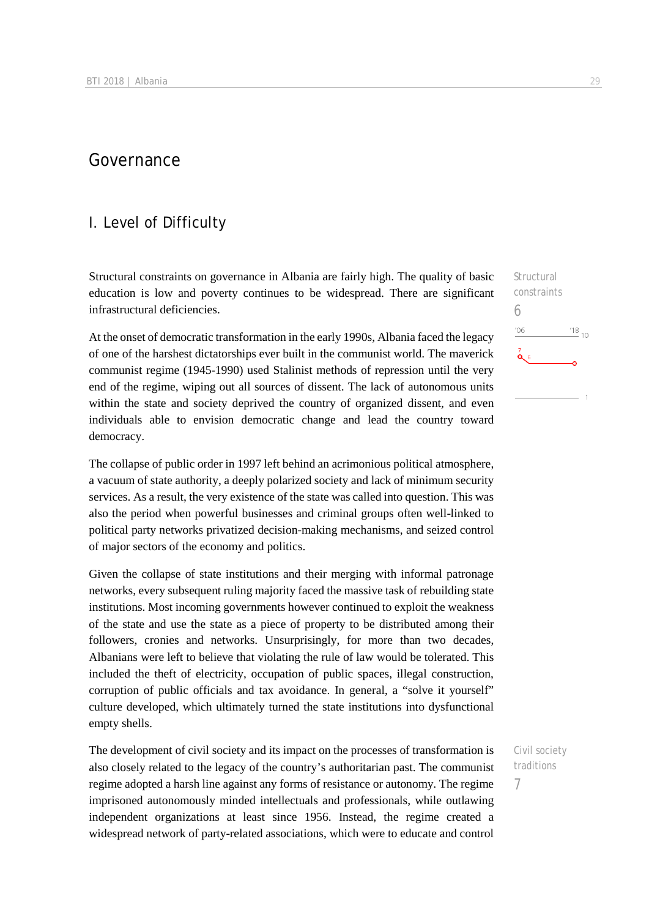# Governance

## I. Level of Difficulty

Structural constraints on governance in Albania are fairly high. The quality of basic education is low and poverty continues to be widespread. There are significant infrastructural deficiencies.

At the onset of democratic transformation in the early 1990s, Albania faced the legacy of one of the harshest dictatorships ever built in the communist world. The maverick communist regime (1945-1990) used Stalinist methods of repression until the very end of the regime, wiping out all sources of dissent. The lack of autonomous units within the state and society deprived the country of organized dissent, and even individuals able to envision democratic change and lead the country toward democracy.

The collapse of public order in 1997 left behind an acrimonious political atmosphere, a vacuum of state authority, a deeply polarized society and lack of minimum security services. As a result, the very existence of the state was called into question. This was also the period when powerful businesses and criminal groups often well-linked to political party networks privatized decision-making mechanisms, and seized control of major sectors of the economy and politics.

Given the collapse of state institutions and their merging with informal patronage networks, every subsequent ruling majority faced the massive task of rebuilding state institutions. Most incoming governments however continued to exploit the weakness of the state and use the state as a piece of property to be distributed among their followers, cronies and networks. Unsurprisingly, for more than two decades, Albanians were left to believe that violating the rule of law would be tolerated. This included the theft of electricity, occupation of public spaces, illegal construction, corruption of public officials and tax avoidance. In general, a "solve it yourself" culture developed, which ultimately turned the state institutions into dysfunctional empty shells.

The development of civil society and its impact on the processes of transformation is also closely related to the legacy of the country's authoritarian past. The communist regime adopted a harsh line against any forms of resistance or autonomy. The regime imprisoned autonomously minded intellectuals and professionals, while outlawing independent organizations at least since 1956. Instead, the regime created a widespread network of party-related associations, which were to educate and control

Structural constraints 6 '06  $^{'}18$ <sub>10</sub>  $\alpha$ 

Civil society traditions 7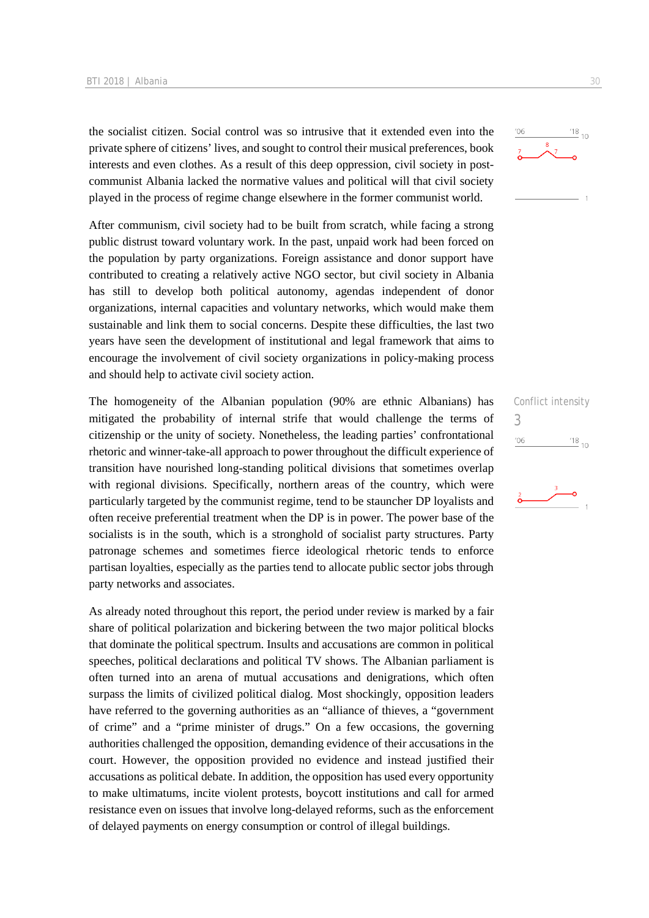the socialist citizen. Social control was so intrusive that it extended even into the private sphere of citizens' lives, and sought to control their musical preferences, book interests and even clothes. As a result of this deep oppression, civil society in postcommunist Albania lacked the normative values and political will that civil society played in the process of regime change elsewhere in the former communist world.

After communism, civil society had to be built from scratch, while facing a strong public distrust toward voluntary work. In the past, unpaid work had been forced on the population by party organizations. Foreign assistance and donor support have contributed to creating a relatively active NGO sector, but civil society in Albania has still to develop both political autonomy, agendas independent of donor organizations, internal capacities and voluntary networks, which would make them sustainable and link them to social concerns. Despite these difficulties, the last two years have seen the development of institutional and legal framework that aims to encourage the involvement of civil society organizations in policy-making process and should help to activate civil society action.

The homogeneity of the Albanian population (90% are ethnic Albanians) has mitigated the probability of internal strife that would challenge the terms of citizenship or the unity of society. Nonetheless, the leading parties' confrontational rhetoric and winner-take-all approach to power throughout the difficult experience of transition have nourished long-standing political divisions that sometimes overlap with regional divisions. Specifically, northern areas of the country, which were particularly targeted by the communist regime, tend to be stauncher DP loyalists and often receive preferential treatment when the DP is in power. The power base of the socialists is in the south, which is a stronghold of socialist party structures. Party patronage schemes and sometimes fierce ideological rhetoric tends to enforce partisan loyalties, especially as the parties tend to allocate public sector jobs through party networks and associates.

As already noted throughout this report, the period under review is marked by a fair share of political polarization and bickering between the two major political blocks that dominate the political spectrum. Insults and accusations are common in political speeches, political declarations and political TV shows. The Albanian parliament is often turned into an arena of mutual accusations and denigrations, which often surpass the limits of civilized political dialog. Most shockingly, opposition leaders have referred to the governing authorities as an "alliance of thieves, a "government of crime" and a "prime minister of drugs." On a few occasions, the governing authorities challenged the opposition, demanding evidence of their accusations in the court. However, the opposition provided no evidence and instead justified their accusations as political debate. In addition, the opposition has used every opportunity to make ultimatums, incite violent protests, boycott institutions and call for armed resistance even on issues that involve long-delayed reforms, such as the enforcement of delayed payments on energy consumption or control of illegal buildings.





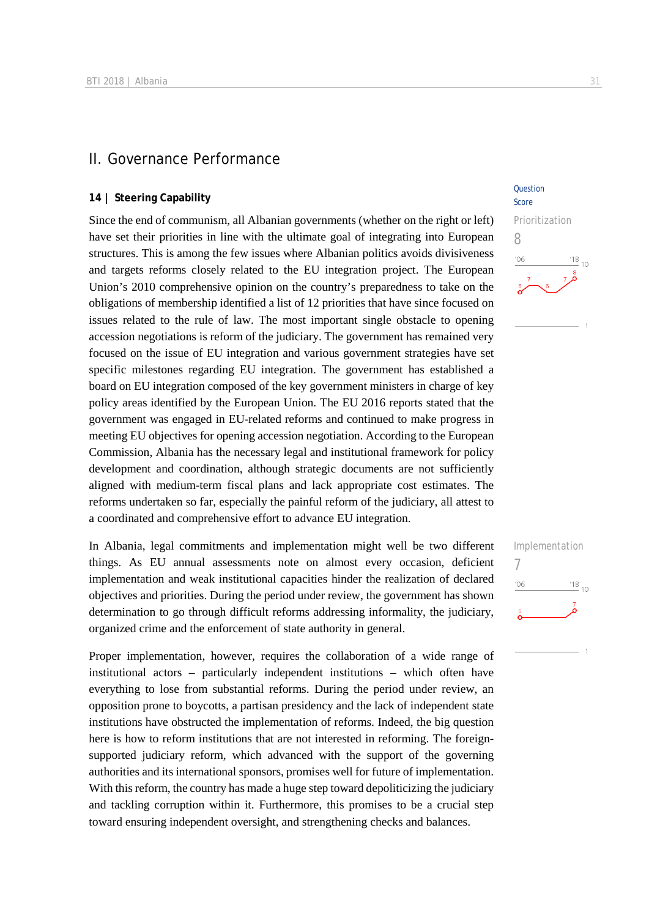### II. Governance Performance

#### **14 | Steering Capability**

Since the end of communism, all Albanian governments (whether on the right or left) have set their priorities in line with the ultimate goal of integrating into European structures. This is among the few issues where Albanian politics avoids divisiveness and targets reforms closely related to the EU integration project. The European Union's 2010 comprehensive opinion on the country's preparedness to take on the obligations of membership identified a list of 12 priorities that have since focused on issues related to the rule of law. The most important single obstacle to opening accession negotiations is reform of the judiciary. The government has remained very focused on the issue of EU integration and various government strategies have set specific milestones regarding EU integration. The government has established a board on EU integration composed of the key government ministers in charge of key policy areas identified by the European Union. The EU 2016 reports stated that the government was engaged in EU-related reforms and continued to make progress in meeting EU objectives for opening accession negotiation. According to the European Commission, Albania has the necessary legal and institutional framework for policy development and coordination, although strategic documents are not sufficiently aligned with medium-term fiscal plans and lack appropriate cost estimates. The reforms undertaken so far, especially the painful reform of the judiciary, all attest to a coordinated and comprehensive effort to advance EU integration.

In Albania, legal commitments and implementation might well be two different things. As EU annual assessments note on almost every occasion, deficient implementation and weak institutional capacities hinder the realization of declared objectives and priorities. During the period under review, the government has shown determination to go through difficult reforms addressing informality, the judiciary, organized crime and the enforcement of state authority in general.

Proper implementation, however, requires the collaboration of a wide range of institutional actors – particularly independent institutions – which often have everything to lose from substantial reforms. During the period under review, an opposition prone to boycotts, a partisan presidency and the lack of independent state institutions have obstructed the implementation of reforms. Indeed, the big question here is how to reform institutions that are not interested in reforming. The foreignsupported judiciary reform, which advanced with the support of the governing authorities and its international sponsors, promises well for future of implementation. With this reform, the country has made a huge step toward depoliticizing the judiciary and tackling corruption within it. Furthermore, this promises to be a crucial step toward ensuring independent oversight, and strengthening checks and balances.

#### **Ouestion** Score



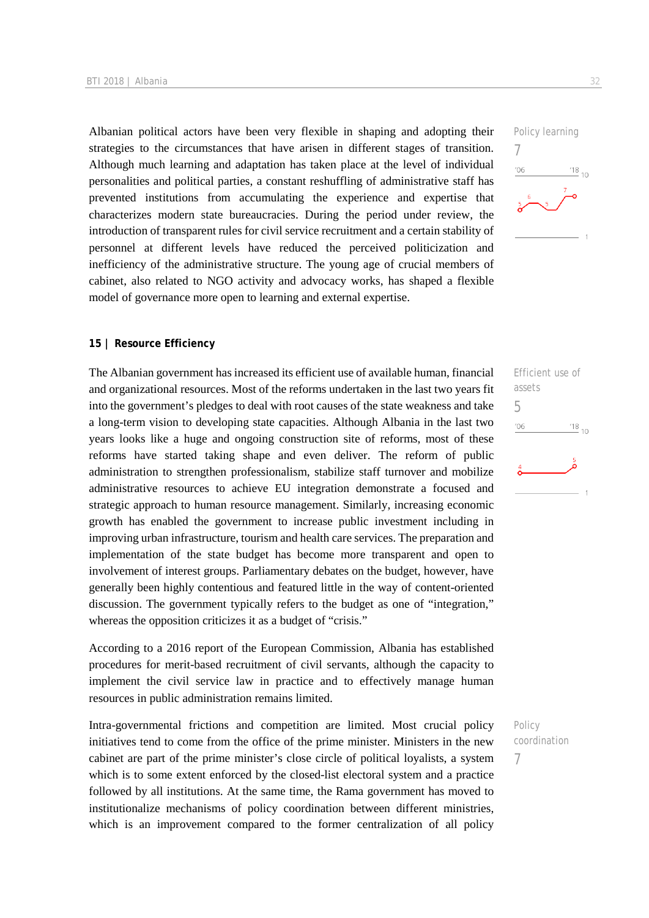Albanian political actors have been very flexible in shaping and adopting their strategies to the circumstances that have arisen in different stages of transition. Although much learning and adaptation has taken place at the level of individual personalities and political parties, a constant reshuffling of administrative staff has prevented institutions from accumulating the experience and expertise that characterizes modern state bureaucracies. During the period under review, the introduction of transparent rules for civil service recruitment and a certain stability of personnel at different levels have reduced the perceived politicization and inefficiency of the administrative structure. The young age of crucial members of cabinet, also related to NGO activity and advocacy works, has shaped a flexible model of governance more open to learning and external expertise.

#### **15 | Resource Efficiency**

The Albanian government has increased its efficient use of available human, financial and organizational resources. Most of the reforms undertaken in the last two years fit into the government's pledges to deal with root causes of the state weakness and take a long-term vision to developing state capacities. Although Albania in the last two years looks like a huge and ongoing construction site of reforms, most of these reforms have started taking shape and even deliver. The reform of public administration to strengthen professionalism, stabilize staff turnover and mobilize administrative resources to achieve EU integration demonstrate a focused and strategic approach to human resource management. Similarly, increasing economic growth has enabled the government to increase public investment including in improving urban infrastructure, tourism and health care services. The preparation and implementation of the state budget has become more transparent and open to involvement of interest groups. Parliamentary debates on the budget, however, have generally been highly contentious and featured little in the way of content-oriented discussion. The government typically refers to the budget as one of "integration," whereas the opposition criticizes it as a budget of "crisis."

According to a 2016 report of the European Commission, Albania has established procedures for merit-based recruitment of civil servants, although the capacity to implement the civil service law in practice and to effectively manage human resources in public administration remains limited.

Intra-governmental frictions and competition are limited. Most crucial policy initiatives tend to come from the office of the prime minister. Ministers in the new cabinet are part of the prime minister's close circle of political loyalists, a system which is to some extent enforced by the closed-list electoral system and a practice followed by all institutions. At the same time, the Rama government has moved to institutionalize mechanisms of policy coordination between different ministries, which is an improvement compared to the former centralization of all policy



Efficient use of assets 5  $\frac{18}{10}$  10  $'06$ 

Policy coordination 7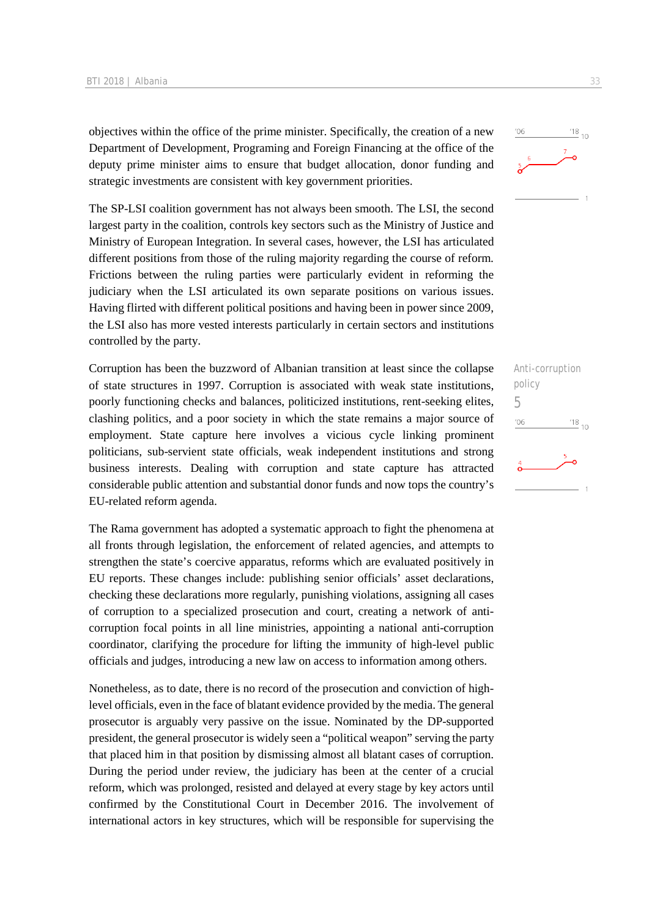objectives within the office of the prime minister. Specifically, the creation of a new Department of Development, Programing and Foreign Financing at the office of the deputy prime minister aims to ensure that budget allocation, donor funding and strategic investments are consistent with key government priorities.

The SP-LSI coalition government has not always been smooth. The LSI, the second largest party in the coalition, controls key sectors such as the Ministry of Justice and Ministry of European Integration. In several cases, however, the LSI has articulated different positions from those of the ruling majority regarding the course of reform. Frictions between the ruling parties were particularly evident in reforming the judiciary when the LSI articulated its own separate positions on various issues. Having flirted with different political positions and having been in power since 2009, the LSI also has more vested interests particularly in certain sectors and institutions controlled by the party.

Corruption has been the buzzword of Albanian transition at least since the collapse of state structures in 1997. Corruption is associated with weak state institutions, poorly functioning checks and balances, politicized institutions, rent-seeking elites, clashing politics, and a poor society in which the state remains a major source of employment. State capture here involves a vicious cycle linking prominent politicians, sub-servient state officials, weak independent institutions and strong business interests. Dealing with corruption and state capture has attracted considerable public attention and substantial donor funds and now tops the country's EU-related reform agenda.

The Rama government has adopted a systematic approach to fight the phenomena at all fronts through legislation, the enforcement of related agencies, and attempts to strengthen the state's coercive apparatus, reforms which are evaluated positively in EU reports. These changes include: publishing senior officials' asset declarations, checking these declarations more regularly, punishing violations, assigning all cases of corruption to a specialized prosecution and court, creating a network of anticorruption focal points in all line ministries, appointing a national anti-corruption coordinator, clarifying the procedure for lifting the immunity of high-level public officials and judges, introducing a new law on access to information among others.

Nonetheless, as to date, there is no record of the prosecution and conviction of highlevel officials, even in the face of blatant evidence provided by the media. The general prosecutor is arguably very passive on the issue. Nominated by the DP-supported president, the general prosecutor is widely seen a "political weapon" serving the party that placed him in that position by dismissing almost all blatant cases of corruption. During the period under review, the judiciary has been at the center of a crucial reform, which was prolonged, resisted and delayed at every stage by key actors until confirmed by the Constitutional Court in December 2016. The involvement of international actors in key structures, which will be responsible for supervising the

| Anti-corruption |                    |
|-----------------|--------------------|
| policy          |                    |
| h               |                    |
| '06             | $\frac{18}{10}$ 10 |
|                 | 5                  |
|                 |                    |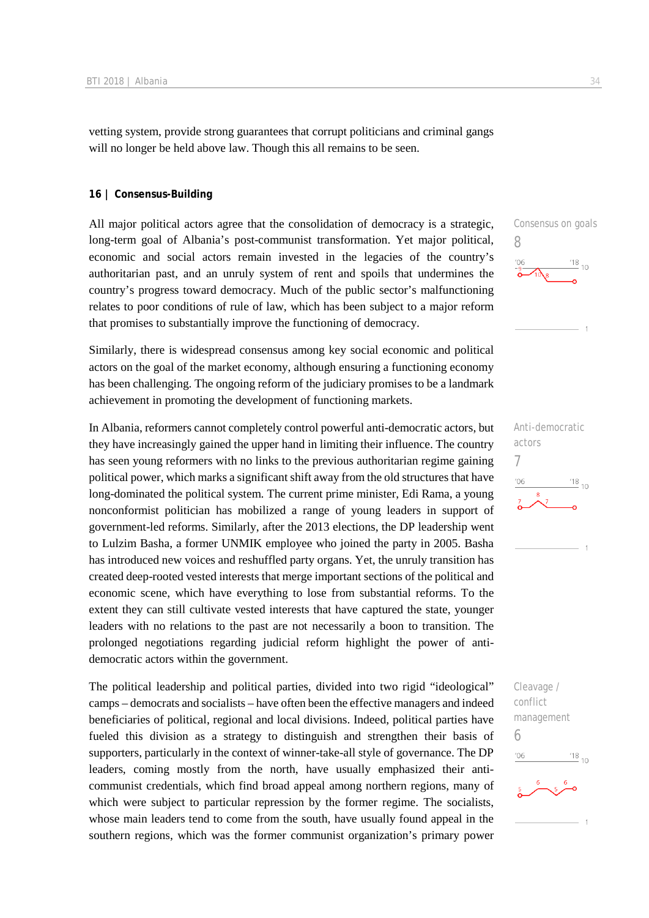vetting system, provide strong guarantees that corrupt politicians and criminal gangs will no longer be held above law. Though this all remains to be seen.

#### **16 | Consensus-Building**

All major political actors agree that the consolidation of democracy is a strategic, long-term goal of Albania's post-communist transformation. Yet major political, economic and social actors remain invested in the legacies of the country's authoritarian past, and an unruly system of rent and spoils that undermines the country's progress toward democracy. Much of the public sector's malfunctioning relates to poor conditions of rule of law, which has been subject to a major reform that promises to substantially improve the functioning of democracy.

Similarly, there is widespread consensus among key social economic and political actors on the goal of the market economy, although ensuring a functioning economy has been challenging. The ongoing reform of the judiciary promises to be a landmark achievement in promoting the development of functioning markets.

In Albania, reformers cannot completely control powerful anti-democratic actors, but they have increasingly gained the upper hand in limiting their influence. The country has seen young reformers with no links to the previous authoritarian regime gaining political power, which marks a significant shift away from the old structures that have long-dominated the political system. The current prime minister, Edi Rama, a young nonconformist politician has mobilized a range of young leaders in support of government-led reforms. Similarly, after the 2013 elections, the DP leadership went to Lulzim Basha, a former UNMIK employee who joined the party in 2005. Basha has introduced new voices and reshuffled party organs. Yet, the unruly transition has created deep-rooted vested interests that merge important sections of the political and economic scene, which have everything to lose from substantial reforms. To the extent they can still cultivate vested interests that have captured the state, younger leaders with no relations to the past are not necessarily a boon to transition. The prolonged negotiations regarding judicial reform highlight the power of antidemocratic actors within the government.

The political leadership and political parties, divided into two rigid "ideological" camps – democrats and socialists – have often been the effective managers and indeed beneficiaries of political, regional and local divisions. Indeed, political parties have fueled this division as a strategy to distinguish and strengthen their basis of supporters, particularly in the context of winner-take-all style of governance. The DP leaders, coming mostly from the north, have usually emphasized their anticommunist credentials, which find broad appeal among northern regions, many of which were subject to particular repression by the former regime. The socialists, whose main leaders tend to come from the south, have usually found appeal in the southern regions, which was the former communist organization's primary power

Consensus on goals 8  $\frac{18}{10}$  10  $106$ 



Cleavage / conflict management 6 $^{18}_{-10}$  $-06$ 

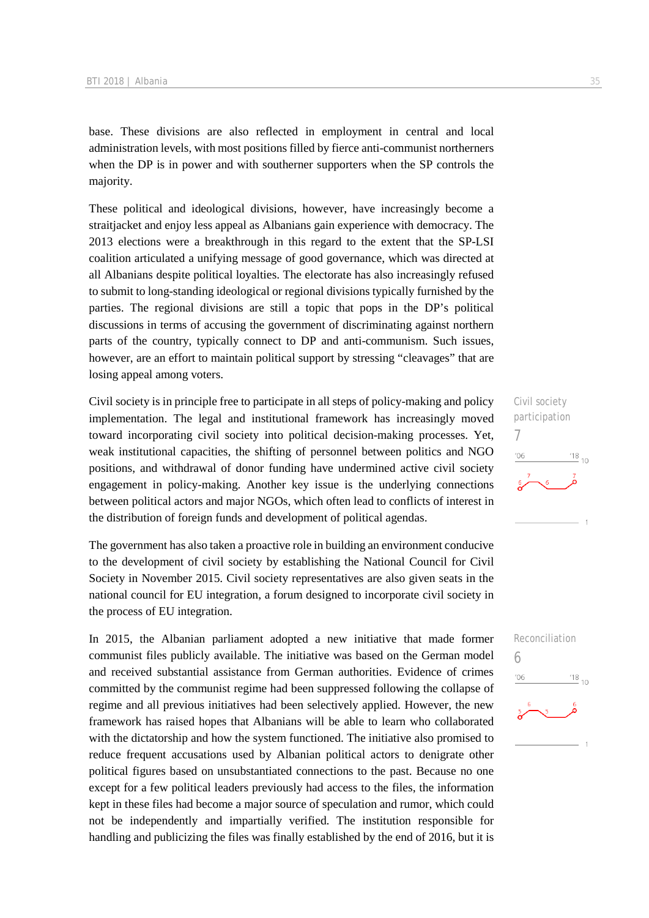base. These divisions are also reflected in employment in central and local administration levels, with most positions filled by fierce anti-communist northerners when the DP is in power and with southerner supporters when the SP controls the majority.

These political and ideological divisions, however, have increasingly become a straitjacket and enjoy less appeal as Albanians gain experience with democracy. The 2013 elections were a breakthrough in this regard to the extent that the SP-LSI coalition articulated a unifying message of good governance, which was directed at all Albanians despite political loyalties. The electorate has also increasingly refused to submit to long-standing ideological or regional divisions typically furnished by the parties. The regional divisions are still a topic that pops in the DP's political discussions in terms of accusing the government of discriminating against northern parts of the country, typically connect to DP and anti-communism. Such issues, however, are an effort to maintain political support by stressing "cleavages" that are losing appeal among voters.

Civil society is in principle free to participate in all steps of policy-making and policy implementation. The legal and institutional framework has increasingly moved toward incorporating civil society into political decision-making processes. Yet, weak institutional capacities, the shifting of personnel between politics and NGO positions, and withdrawal of donor funding have undermined active civil society engagement in policy-making. Another key issue is the underlying connections between political actors and major NGOs, which often lead to conflicts of interest in the distribution of foreign funds and development of political agendas.

The government has also taken a proactive role in building an environment conducive to the development of civil society by establishing the National Council for Civil Society in November 2015. Civil society representatives are also given seats in the national council for EU integration, a forum designed to incorporate civil society in the process of EU integration.

In 2015, the Albanian parliament adopted a new initiative that made former communist files publicly available. The initiative was based on the German model and received substantial assistance from German authorities. Evidence of crimes committed by the communist regime had been suppressed following the collapse of regime and all previous initiatives had been selectively applied. However, the new framework has raised hopes that Albanians will be able to learn who collaborated with the dictatorship and how the system functioned. The initiative also promised to reduce frequent accusations used by Albanian political actors to denigrate other political figures based on unsubstantiated connections to the past. Because no one except for a few political leaders previously had access to the files, the information kept in these files had become a major source of speculation and rumor, which could not be independently and impartially verified. The institution responsible for handling and publicizing the files was finally established by the end of 2016, but it is



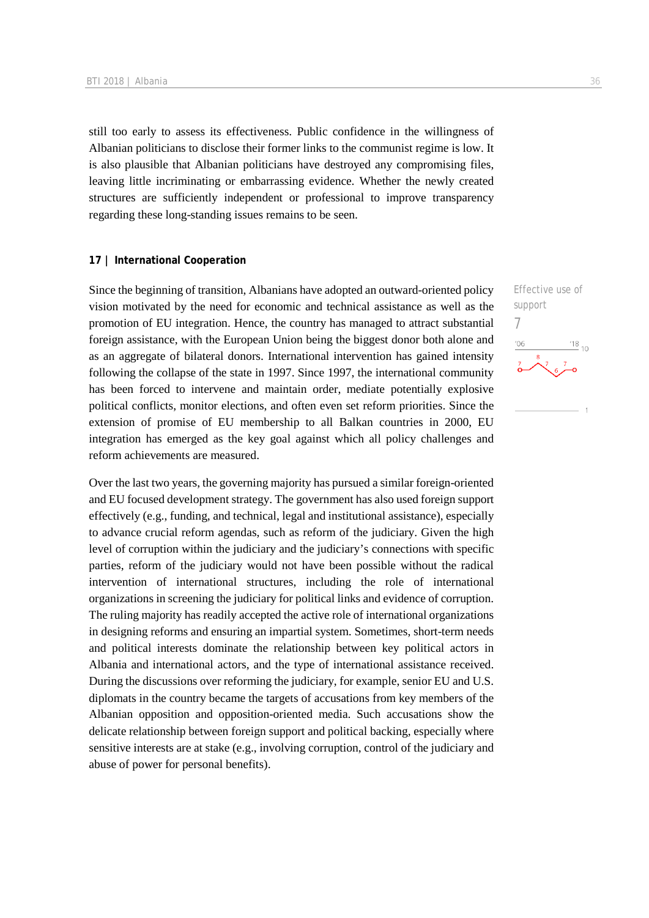still too early to assess its effectiveness. Public confidence in the willingness of Albanian politicians to disclose their former links to the communist regime is low. It is also plausible that Albanian politicians have destroyed any compromising files, leaving little incriminating or embarrassing evidence. Whether the newly created structures are sufficiently independent or professional to improve transparency regarding these long-standing issues remains to be seen.

#### **17 | International Cooperation**

Since the beginning of transition, Albanians have adopted an outward-oriented policy vision motivated by the need for economic and technical assistance as well as the promotion of EU integration. Hence, the country has managed to attract substantial foreign assistance, with the European Union being the biggest donor both alone and as an aggregate of bilateral donors. International intervention has gained intensity following the collapse of the state in 1997. Since 1997, the international community has been forced to intervene and maintain order, mediate potentially explosive political conflicts, monitor elections, and often even set reform priorities. Since the extension of promise of EU membership to all Balkan countries in 2000, EU integration has emerged as the key goal against which all policy challenges and reform achievements are measured.

Over the last two years, the governing majority has pursued a similar foreign-oriented and EU focused development strategy. The government has also used foreign support effectively (e.g., funding, and technical, legal and institutional assistance), especially to advance crucial reform agendas, such as reform of the judiciary. Given the high level of corruption within the judiciary and the judiciary's connections with specific parties, reform of the judiciary would not have been possible without the radical intervention of international structures, including the role of international organizations in screening the judiciary for political links and evidence of corruption. The ruling majority has readily accepted the active role of international organizations in designing reforms and ensuring an impartial system. Sometimes, short-term needs and political interests dominate the relationship between key political actors in Albania and international actors, and the type of international assistance received. During the discussions over reforming the judiciary, for example, senior EU and U.S. diplomats in the country became the targets of accusations from key members of the Albanian opposition and opposition-oriented media. Such accusations show the delicate relationship between foreign support and political backing, especially where sensitive interests are at stake (e.g., involving corruption, control of the judiciary and abuse of power for personal benefits).

Effective use of support 7 $^{\prime}06$  $\frac{18}{10}$  10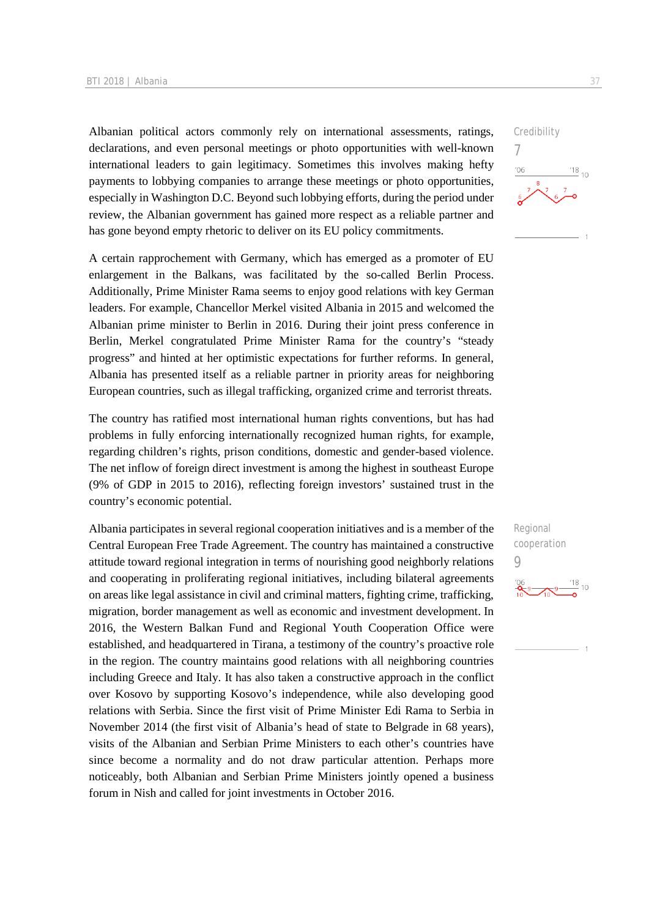Albanian political actors commonly rely on international assessments, ratings, declarations, and even personal meetings or photo opportunities with well-known international leaders to gain legitimacy. Sometimes this involves making hefty payments to lobbying companies to arrange these meetings or photo opportunities, especially in Washington D.C. Beyond such lobbying efforts, during the period under review, the Albanian government has gained more respect as a reliable partner and has gone beyond empty rhetoric to deliver on its EU policy commitments.

A certain rapprochement with Germany, which has emerged as a promoter of EU enlargement in the Balkans, was facilitated by the so-called Berlin Process. Additionally, Prime Minister Rama seems to enjoy good relations with key German leaders. For example, Chancellor Merkel visited Albania in 2015 and welcomed the Albanian prime minister to Berlin in 2016. During their joint press conference in Berlin, Merkel congratulated Prime Minister Rama for the country's "steady progress" and hinted at her optimistic expectations for further reforms. In general, Albania has presented itself as a reliable partner in priority areas for neighboring European countries, such as illegal trafficking, organized crime and terrorist threats.

The country has ratified most international human rights conventions, but has had problems in fully enforcing internationally recognized human rights, for example, regarding children's rights, prison conditions, domestic and gender-based violence. The net inflow of foreign direct investment is among the highest in southeast Europe (9% of GDP in 2015 to 2016), reflecting foreign investors' sustained trust in the country's economic potential.

Albania participates in several regional cooperation initiatives and is a member of the Central European Free Trade Agreement. The country has maintained a constructive attitude toward regional integration in terms of nourishing good neighborly relations and cooperating in proliferating regional initiatives, including bilateral agreements on areas like legal assistance in civil and criminal matters, fighting crime, trafficking, migration, border management as well as economic and investment development. In 2016, the Western Balkan Fund and Regional Youth Cooperation Office were established, and headquartered in Tirana, a testimony of the country's proactive role in the region. The country maintains good relations with all neighboring countries including Greece and Italy. It has also taken a constructive approach in the conflict over Kosovo by supporting Kosovo's independence, while also developing good relations with Serbia. Since the first visit of Prime Minister Edi Rama to Serbia in November 2014 (the first visit of Albania's head of state to Belgrade in 68 years), visits of the Albanian and Serbian Prime Ministers to each other's countries have since become a normality and do not draw particular attention. Perhaps more noticeably, both Albanian and Serbian Prime Ministers jointly opened a business forum in Nish and called for joint investments in October 2016.



Regional cooperation 9